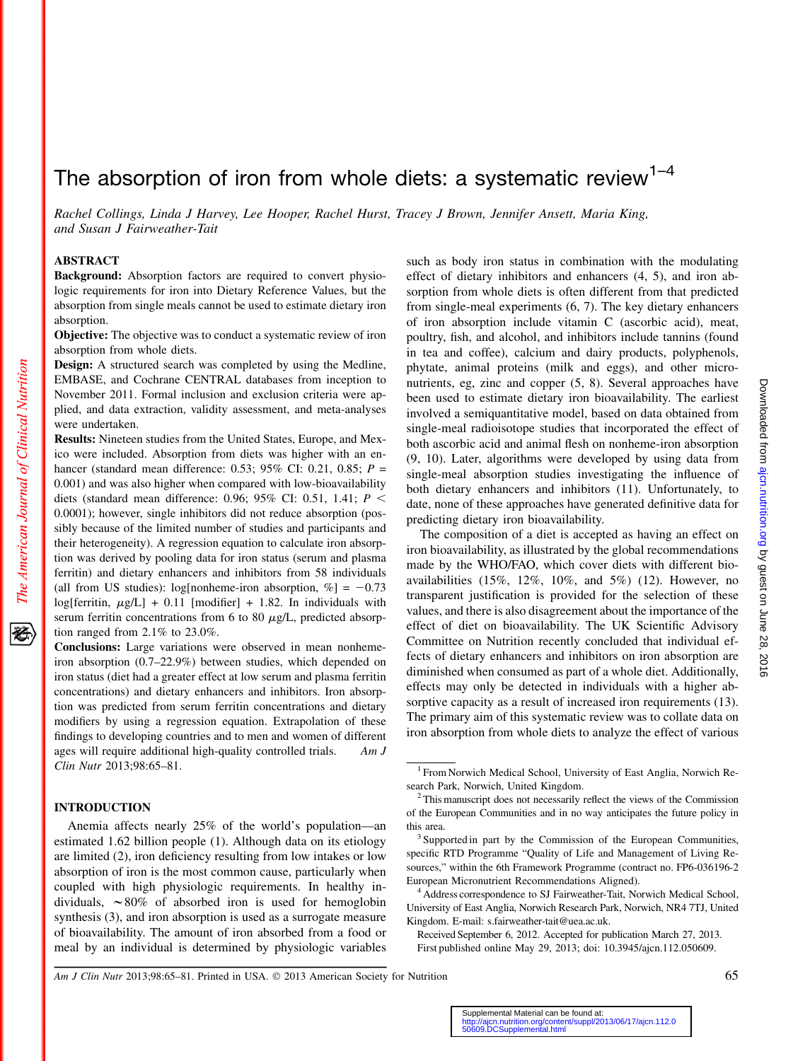# The absorption of iron from whole diets: a systematic review<sup>1-4</sup>

Rachel Collings, Linda J Harvey, Lee Hooper, Rachel Hurst, Tracey J Brown, Jennifer Ansett, Maria King, and Susan J Fairweather-Tait

#### ABSTRACT

Background: Absorption factors are required to convert physiologic requirements for iron into Dietary Reference Values, but the absorption from single meals cannot be used to estimate dietary iron absorption.

Objective: The objective was to conduct a systematic review of iron absorption from whole diets.

Design: A structured search was completed by using the Medline, EMBASE, and Cochrane CENTRAL databases from inception to November 2011. Formal inclusion and exclusion criteria were applied, and data extraction, validity assessment, and meta-analyses were undertaken.

Results: Nineteen studies from the United States, Europe, and Mexico were included. Absorption from diets was higher with an enhancer (standard mean difference: 0.53; 95% CI: 0.21, 0.85;  $P =$ 0.001) and was also higher when compared with low-bioavailability diets (standard mean difference: 0.96; 95% CI: 0.51, 1.41;  $P \leq$ 0.0001); however, single inhibitors did not reduce absorption (possibly because of the limited number of studies and participants and their heterogeneity). A regression equation to calculate iron absorption was derived by pooling data for iron status (serum and plasma ferritin) and dietary enhancers and inhibitors from 58 individuals (all from US studies): log[nonheme-iron absorption,  $\%$ ] = -0.73 log[ferritin,  $\mu$ g/L] + 0.11 [modifier] + 1.82. In individuals with serum ferritin concentrations from 6 to 80  $\mu$ g/L, predicted absorption ranged from 2.1% to 23.0%.

Conclusions: Large variations were observed in mean nonhemeiron absorption (0.7–22.9%) between studies, which depended on iron status (diet had a greater effect at low serum and plasma ferritin concentrations) and dietary enhancers and inhibitors. Iron absorption was predicted from serum ferritin concentrations and dietary modifiers by using a regression equation. Extrapolation of these findings to developing countries and to men and women of different ages will require additional high-quality controlled trials. Am J Clin Nutr 2013;98:65–81.

# INTRODUCTION

Anemia affects nearly 25% of the world's population—an estimated 1.62 billion people (1). Although data on its etiology are limited (2), iron deficiency resulting from low intakes or low absorption of iron is the most common cause, particularly when coupled with high physiologic requirements. In healthy individuals,  $\sim 80\%$  of absorbed iron is used for hemoglobin synthesis (3), and iron absorption is used as a surrogate measure of bioavailability. The amount of iron absorbed from a food or meal by an individual is determined by physiologic variables

such as body iron status in combination with the modulating effect of dietary inhibitors and enhancers (4, 5), and iron absorption from whole diets is often different from that predicted from single-meal experiments (6, 7). The key dietary enhancers of iron absorption include vitamin C (ascorbic acid), meat, poultry, fish, and alcohol, and inhibitors include tannins (found in tea and coffee), calcium and dairy products, polyphenols, phytate, animal proteins (milk and eggs), and other micronutrients, eg, zinc and copper (5, 8). Several approaches have been used to estimate dietary iron bioavailability. The earliest involved a semiquantitative model, based on data obtained from single-meal radioisotope studies that incorporated the effect of both ascorbic acid and animal flesh on nonheme-iron absorption (9, 10). Later, algorithms were developed by using data from single-meal absorption studies investigating the influence of both dietary enhancers and inhibitors (11). Unfortunately, to date, none of these approaches have generated definitive data for predicting dietary iron bioavailability.

The composition of a diet is accepted as having an effect on iron bioavailability, as illustrated by the global recommendations made by the WHO/FAO, which cover diets with different bioavailabilities  $(15\%, 12\%, 10\%, \text{ and } 5\%)$   $(12)$ . However, no transparent justification is provided for the selection of these values, and there is also disagreement about the importance of the effect of diet on bioavailability. The UK Scientific Advisory Committee on Nutrition recently concluded that individual effects of dietary enhancers and inhibitors on iron absorption are diminished when consumed as part of a whole diet. Additionally, effects may only be detected in individuals with a higher absorptive capacity as a result of increased iron requirements (13). The primary aim of this systematic review was to collate data on iron absorption from whole diets to analyze the effect of various

http://ajcn.nutrition.org/conten<br>50609.DCSupplemental.html

移

The American Journal of Clinical Nutrition

<sup>&</sup>lt;sup>1</sup> From Norwich Medical School, University of East Anglia, Norwich Research Park, Norwich, United Kingdom.<br><sup>2</sup> This manuscript does not necessarily reflect the views of the Commission

of the European Communities and in no way anticipates the future policy in this area.

<sup>&</sup>lt;sup>3</sup> Supported in part by the Commission of the European Communities, specific RTD Programme "Quality of Life and Management of Living Resources," within the 6th Framework Programme (contract no. FP6-036196-2 European Micronutrient Recommendations Aligned).

<sup>&</sup>lt;sup>4</sup> Address correspondence to SJ Fairweather-Tait, Norwich Medical School, University of East Anglia, Norwich Research Park, Norwich, NR4 7TJ, United Kingdom. E-mail: s.fairweather-tait@uea.ac.uk.

Received September 6, 2012. Accepted for publication March 27, 2013. First published online May 29, 2013; doi: 10.3945/ajcn.112.050609.

Am J Clin Nutr 2013;98:65–81. Printed in USA.  $\odot$  2013 American Society for Nutrition 65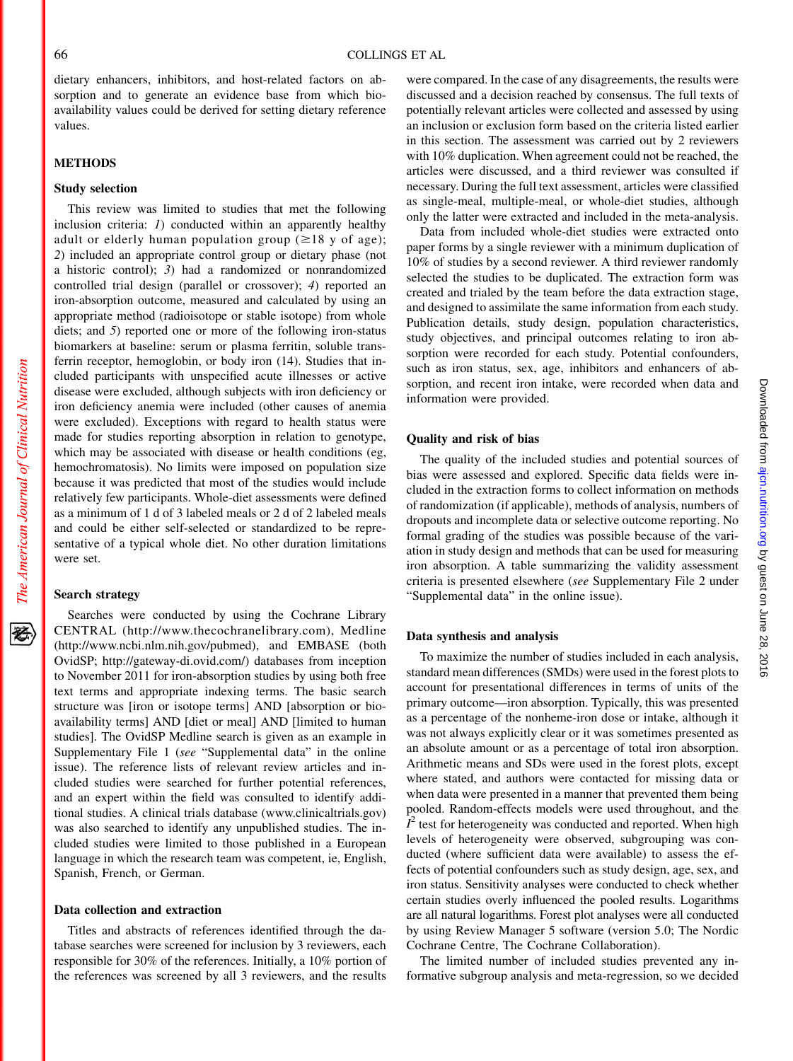dietary enhancers, inhibitors, and host-related factors on absorption and to generate an evidence base from which bioavailability values could be derived for setting dietary reference values.

# METHODS

# Study selection

This review was limited to studies that met the following inclusion criteria:  $I$ ) conducted within an apparently healthy adult or elderly human population group  $(\geq 18 \text{ y of age});$ 2) included an appropriate control group or dietary phase (not a historic control); 3) had a randomized or nonrandomized controlled trial design (parallel or crossover); 4) reported an iron-absorption outcome, measured and calculated by using an appropriate method (radioisotope or stable isotope) from whole diets; and 5) reported one or more of the following iron-status biomarkers at baseline: serum or plasma ferritin, soluble transferrin receptor, hemoglobin, or body iron (14). Studies that included participants with unspecified acute illnesses or active disease were excluded, although subjects with iron deficiency or iron deficiency anemia were included (other causes of anemia were excluded). Exceptions with regard to health status were made for studies reporting absorption in relation to genotype, which may be associated with disease or health conditions (eg, hemochromatosis). No limits were imposed on population size because it was predicted that most of the studies would include relatively few participants. Whole-diet assessments were defined as a minimum of 1 d of 3 labeled meals or 2 d of 2 labeled meals and could be either self-selected or standardized to be representative of a typical whole diet. No other duration limitations were set.

#### Search strategy

The American Journal of Clinical Nutrition

经

Searches were conducted by using the Cochrane Library CENTRAL (http://www.thecochranelibrary.com), Medline (http://www.ncbi.nlm.nih.gov/pubmed), and EMBASE (both OvidSP; http://gateway-di.ovid.com/) databases from inception to November 2011 for iron-absorption studies by using both free text terms and appropriate indexing terms. The basic search structure was [iron or isotope terms] AND [absorption or bioavailability terms] AND [diet or meal] AND [limited to human studies]. The OvidSP Medline search is given as an example in Supplementary File 1 (see "Supplemental data" in the online issue). The reference lists of relevant review articles and included studies were searched for further potential references, and an expert within the field was consulted to identify additional studies. A clinical trials database (www.clinicaltrials.gov) was also searched to identify any unpublished studies. The included studies were limited to those published in a European language in which the research team was competent, ie, English, Spanish, French, or German.

# Data collection and extraction

Titles and abstracts of references identified through the database searches were screened for inclusion by 3 reviewers, each responsible for 30% of the references. Initially, a 10% portion of the references was screened by all 3 reviewers, and the results

were compared. In the case of any disagreements, the results were discussed and a decision reached by consensus. The full texts of potentially relevant articles were collected and assessed by using an inclusion or exclusion form based on the criteria listed earlier in this section. The assessment was carried out by 2 reviewers with 10% duplication. When agreement could not be reached, the articles were discussed, and a third reviewer was consulted if necessary. During the full text assessment, articles were classified as single-meal, multiple-meal, or whole-diet studies, although only the latter were extracted and included in the meta-analysis.

Data from included whole-diet studies were extracted onto paper forms by a single reviewer with a minimum duplication of 10% of studies by a second reviewer. A third reviewer randomly selected the studies to be duplicated. The extraction form was created and trialed by the team before the data extraction stage, and designed to assimilate the same information from each study. Publication details, study design, population characteristics, study objectives, and principal outcomes relating to iron absorption were recorded for each study. Potential confounders, such as iron status, sex, age, inhibitors and enhancers of absorption, and recent iron intake, were recorded when data and information were provided.

#### Quality and risk of bias

The quality of the included studies and potential sources of bias were assessed and explored. Specific data fields were included in the extraction forms to collect information on methods of randomization (if applicable), methods of analysis, numbers of dropouts and incomplete data or selective outcome reporting. No formal grading of the studies was possible because of the variation in study design and methods that can be used for measuring iron absorption. A table summarizing the validity assessment criteria is presented elsewhere (see Supplementary File 2 under "Supplemental data" in the online issue).

#### Data synthesis and analysis

To maximize the number of studies included in each analysis, standard mean differences (SMDs) were used in the forest plots to account for presentational differences in terms of units of the primary outcome—iron absorption. Typically, this was presented as a percentage of the nonheme-iron dose or intake, although it was not always explicitly clear or it was sometimes presented as an absolute amount or as a percentage of total iron absorption. Arithmetic means and SDs were used in the forest plots, except where stated, and authors were contacted for missing data or when data were presented in a manner that prevented them being pooled. Random-effects models were used throughout, and the  $\hat{I}^2$  test for heterogeneity was conducted and reported. When high levels of heterogeneity were observed, subgrouping was conducted (where sufficient data were available) to assess the effects of potential confounders such as study design, age, sex, and iron status. Sensitivity analyses were conducted to check whether certain studies overly influenced the pooled results. Logarithms are all natural logarithms. Forest plot analyses were all conducted by using Review Manager 5 software (version 5.0; The Nordic Cochrane Centre, The Cochrane Collaboration).

The limited number of included studies prevented any informative subgroup analysis and meta-regression, so we decided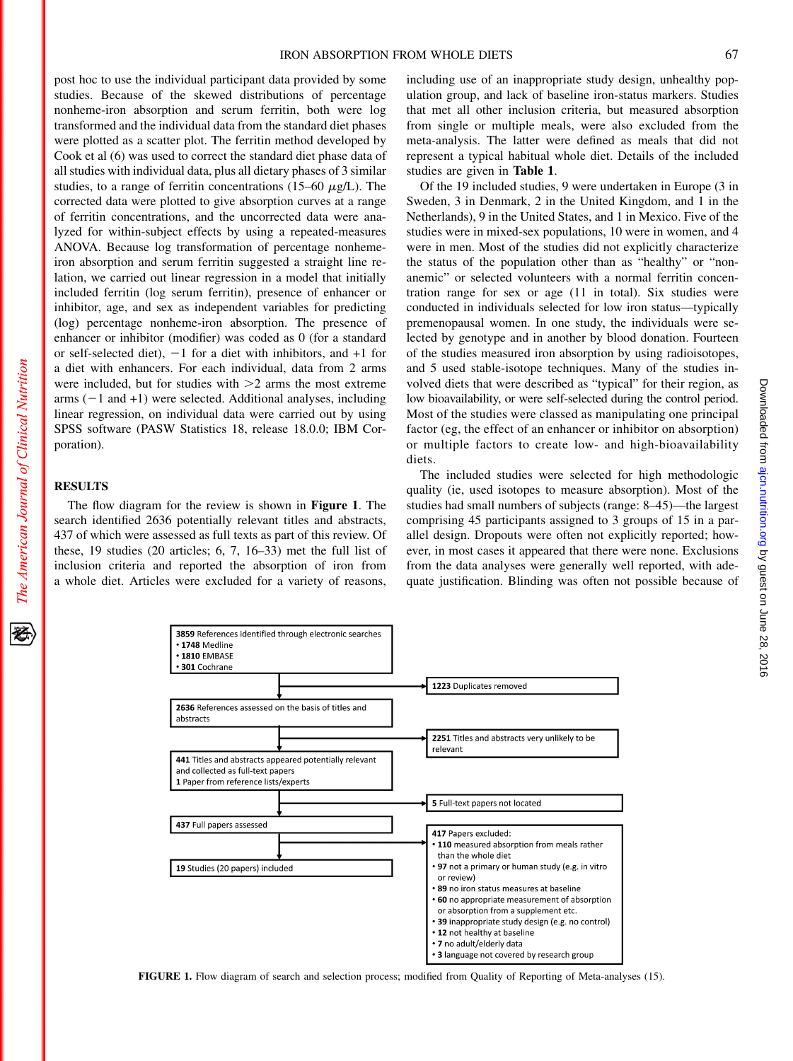post hoc to use the individual participant data provided by some studies. Because of the skewed distributions of percentage nonheme-iron absorption and serum ferritin, both were log transformed and the individual data from the standard diet phases were plotted as a scatter plot. The ferritin method developed by Cook et al (6) was used to correct the standard diet phase data of all studies with individual data, plus all dietary phases of 3 similar studies, to a range of ferritin concentrations (15–60  $\mu$ g/L). The corrected data were plotted to give absorption curves at a range of ferritin concentrations, and the uncorrected data were analyzed for within-subject effects by using a repeated-measures ANOVA. Because log transformation of percentage nonhemeiron absorption and serum ferritin suggested a straight line relation, we carried out linear regression in a model that initially included ferritin (log serum ferritin), presence of enhancer or inhibitor, age, and sex as independent variables for predicting (log) percentage nonheme-iron absorption. The presence of enhancer or inhibitor (modifier) was coded as 0 (for a standard or self-selected diet),  $-1$  for a diet with inhibitors, and  $+1$  for a diet with enhancers. For each individual, data from 2 arms were included, but for studies with  $>2$  arms the most extreme arms  $(-1$  and  $+1)$  were selected. Additional analyses, including linear regression, on individual data were carried out by using SPSS software (PASW Statistics 18, release 18.0.0; IBM Corporation).

# **RESULTS**

The flow diagram for the review is shown in Figure 1. The search identified 2636 potentially relevant titles and abstracts, 437 of which were assessed as full texts as part of this review. Of these, 19 studies (20 articles; 6, 7, 16–33) met the full list of inclusion criteria and reported the absorption of iron from a whole diet. Articles were excluded for a variety of reasons,

including use of an inappropriate study design, unhealthy population group, and lack of baseline iron-status markers. Studies that met all other inclusion criteria, but measured absorption from single or multiple meals, were also excluded from the meta-analysis. The latter were defined as meals that did not represent a typical habitual whole diet. Details of the included studies are given in Table 1.

Of the 19 included studies, 9 were undertaken in Europe (3 in Sweden, 3 in Denmark, 2 in the United Kingdom, and 1 in the Netherlands), 9 in the United States, and 1 in Mexico. Five of the studies were in mixed-sex populations, 10 were in women, and 4 were in men. Most of the studies did not explicitly characterize the status of the population other than as "healthy" or "nonanemic" or selected volunteers with a normal ferritin concentration range for sex or age (11 in total). Six studies were conducted in individuals selected for low iron status—typically premenopausal women. In one study, the individuals were selected by genotype and in another by blood donation. Fourteen of the studies measured iron absorption by using radioisotopes, and 5 used stable-isotope techniques. Many of the studies involved diets that were described as "typical" for their region, as low bioavailability, or were self-selected during the control period. Most of the studies were classed as manipulating one principal factor (eg, the effect of an enhancer or inhibitor on absorption) or multiple factors to create low- and high-bioavailability diets.

The included studies were selected for high methodologic quality (ie, used isotopes to measure absorption). Most of the studies had small numbers of subjects (range: 8–45)—the largest comprising 45 participants assigned to 3 groups of 15 in a parallel design. Dropouts were often not explicitly reported; however, in most cases it appeared that there were none. Exclusions from the data analyses were generally well reported, with adequate justification. Blinding was often not possible because of



FIGURE 1. Flow diagram of search and selection process; modified from Quality of Reporting of Meta-analyses (15).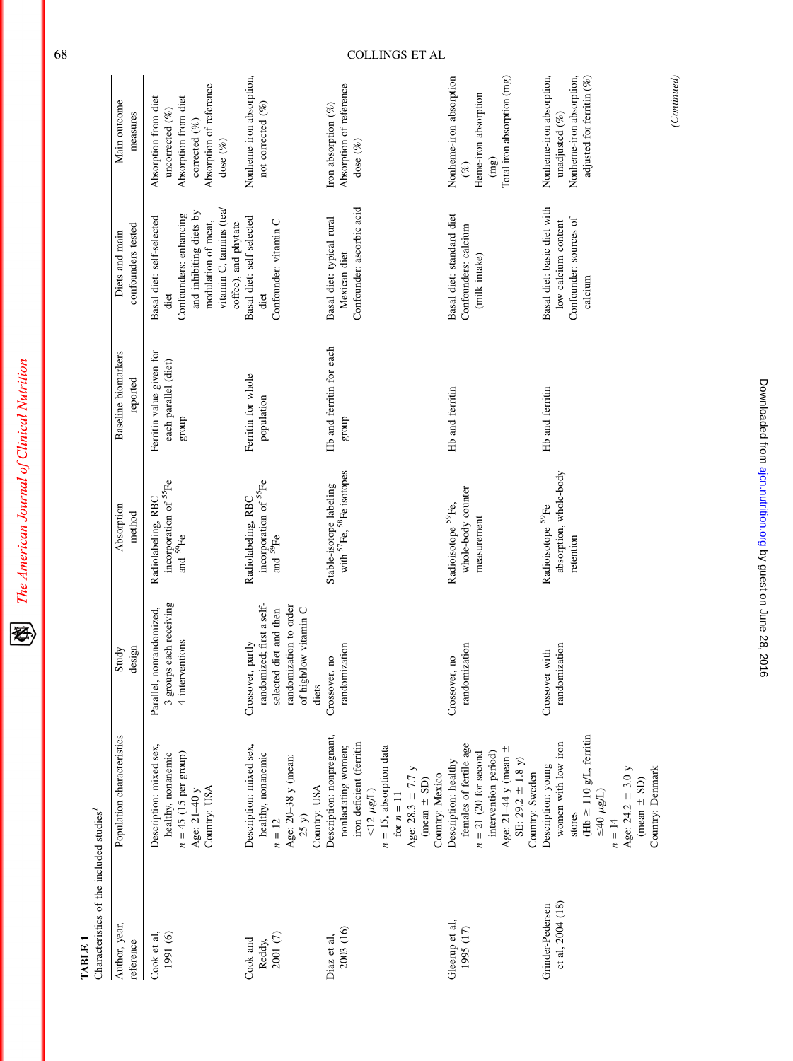| ī |              |
|---|--------------|
|   |              |
|   |              |
|   | <b>TABLE</b> |
|   |              |

| Characteristics of the included studies <sup>1</sup><br>TABLE 1 |                                                                                                                                                                                                                |                                                                                                                                      |                                                                                   |                                                           |                                                                                                                                                                   |                                                                                                                                  |
|-----------------------------------------------------------------|----------------------------------------------------------------------------------------------------------------------------------------------------------------------------------------------------------------|--------------------------------------------------------------------------------------------------------------------------------------|-----------------------------------------------------------------------------------|-----------------------------------------------------------|-------------------------------------------------------------------------------------------------------------------------------------------------------------------|----------------------------------------------------------------------------------------------------------------------------------|
| Author, year,<br>reference                                      | Population characteristics                                                                                                                                                                                     | design<br>Study                                                                                                                      | Absorption<br>method                                                              | Baseline biomarkers<br>reported                           | confounders tested<br>Diets and main                                                                                                                              | Main outcome<br>measures                                                                                                         |
| Cook et al,<br>1991 (6)                                         | Description: mixed sex,<br>$n = 45$ (15 per group)<br>healthy, nonanemic<br>Country: USA<br>Age: 21-40 y                                                                                                       | 3 groups each receiving<br>nonrandomized,<br>4 interventions<br>Parallel,                                                            | incorporation of <sup>55</sup> Fe<br>Radiolabeling, RBC<br>and <sup>59</sup> Fe   | Ferritin value given for<br>each parallel (diet)<br>group | vitamin C, tannins (tea/<br>and inhibiting diets by<br>Confounders: enhancing<br>Basal diet: self-selected<br>modulation of meat,<br>coffee), and phytate<br>diet | Absorption of reference<br>Absorption from diet<br>Absorption from diet<br>uncorrected $(\%)$<br>corrected $(\%)$<br>dose $(\%)$ |
| 2001 (7)<br>Cook and<br>Reddy,                                  | Description: mixed sex,<br>healthy, nonanemic<br>Age: 20-38 y (mean:<br>Country: USA<br>25 y<br>$n = 12$                                                                                                       | randomized; first a self-<br>randomization to order<br>of high/low vitamin C<br>selected diet and then<br>Crossover, partly<br>diets | incorporation of <sup>55</sup> Fe<br>Radiolabeling, RBC<br>and $^{59}\mathrm{Fe}$ | Ferritin for whole<br>population                          | Basal diet: self-selected<br>Confounder: vitamin C<br>diet                                                                                                        | Nonheme-iron absorption,<br>not corrected $(\%)$                                                                                 |
| 2003 (16)<br>Diaz et al,                                        | Description: nonpregnant,<br>iron deficient (ferritin<br>nonlactating women;<br>$n = 15$ , absorption data<br>Age: 28.3 $\pm$ 7.7 y<br>Country: Mexico<br>$(mean \pm SD)$<br>$<$ 12 $\mu$ g/L)<br>for $n = 11$ | randomization<br>Crossover, no                                                                                                       | Stable-isotope labeling<br>with $^{57}$ Fe, $^{58}$ Fe isotopes                   | Hb and ferritin for each<br>group                         | Confounder: ascorbic acid<br>Basal diet: typical rural<br>Mexican diet                                                                                            | Absorption of reference<br>Iron absorption $(\%)$<br>dose $(\%)$                                                                 |
| Gleerup et al,<br>1995 (17)                                     | females of fertile age<br>Age: 21-44 y (mean $\pm$<br>intervention period)<br>$n = 21$ (20 for second<br>SE: $29.2 \pm 1.8$ y)<br>Description: healthy<br>Country: Sweden                                      | randomization<br>Crossover, no                                                                                                       | whole-body counter<br>Radioisotope <sup>59</sup> Fe,<br>measurement               | Hb and ferritin                                           | Basal diet: standard diet<br>Confounders: calcium<br>(milk intake)                                                                                                | Nonheme-iron absorption<br>Total iron absorption (mg)<br>Heme-iron absorption<br>(mg)<br>$(\%)$                                  |
| et al, 2004 (18)<br>Grinder-Pedersen                            | (Hb $\geq$ 110 g/L, ferritin<br>women with low iron<br>Description: young<br>Country: Denmark<br>Age: 24.2 $\pm$ 3.0 y<br>$(mean \pm SD)$<br>$\leq$ 40 $\mu$ g/L)<br>stores<br>$n = 14$                        | randomization<br>Crossover with                                                                                                      | absorption, whole-body<br>Radioisotope <sup>59</sup> Fe<br>retention              | Hb and ferritin                                           | Basal diet: basic diet with<br>Confounder: sources of<br>low calcium content<br>calcium                                                                           | Nonheme-iron absorption,<br>Nonheme-iron absorption,<br>adjusted for ferritin $(\%)$<br>unadjusted $(\%)$                        |

(Continued)

 $(Continued) % \begin{minipage}[b]{0.5\linewidth} \centering \centerline{\includegraphics[width=0.5\linewidth]{images/STM100020.jpg} \centerline{\includegraphics[width=0.5\linewidth]{images/STM100020.jpg} \centerline{\includegraphics[width=0.5\linewidth]{images/STM100020.jpg} \centerline{\includegraphics[width=0.5\linewidth]{images/STM100020.jpg} \centerline{\includegraphics[width=0.5\linewidth]{images/STM100020.jpg} \centerline{\includegraphics[width=0.5\linewidth]{images/STM100020.jpg} \centerline{\includegraphics[width=0.5\linewidth]{images/STM100020.jpg} \centerline{\includegraphics[width$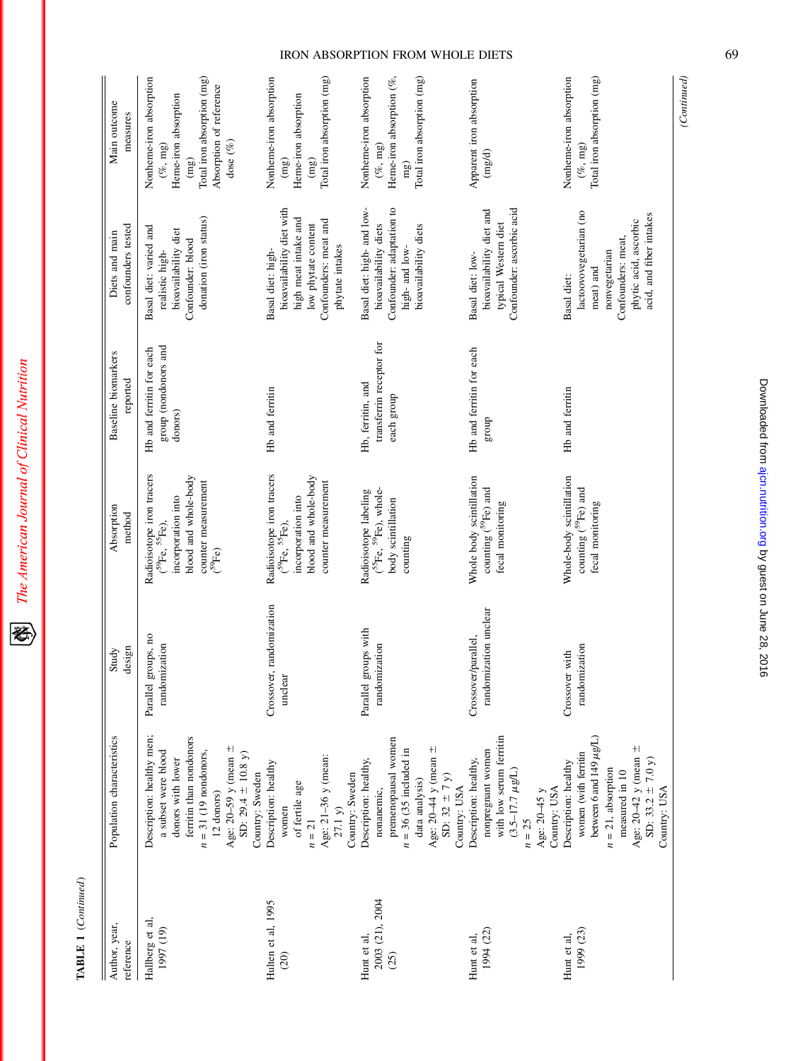TABLE 1 (Continued)

 ${\bf TABLE \ 1 \ (Continued)}$ 

| Author, year,<br>reference             | Population characteristics                                                                                                                                                                        | design<br>Study                              | Absorption<br>method                                                                                                                                         | Baseline biomarkers<br>reported                             | confounders tested<br>Diets and main                                                                                                          | Main outcome<br>measures                                                                                                                       |
|----------------------------------------|---------------------------------------------------------------------------------------------------------------------------------------------------------------------------------------------------|----------------------------------------------|--------------------------------------------------------------------------------------------------------------------------------------------------------------|-------------------------------------------------------------|-----------------------------------------------------------------------------------------------------------------------------------------------|------------------------------------------------------------------------------------------------------------------------------------------------|
| Hallberg et al,<br>1997 (19)           | Description: healthy men;<br>ferritin than nondonors<br>Age: $20-59$ y (mean $\pm$<br>a subset were blood<br>$n = 31$ (19 nondonors,<br>SD: 29.4 $\pm$ 10.8 y)<br>donors with lower<br>12 donors) | Parallel groups, no<br>randomization         | Radioisotope iron tracers<br>blood and whole-body<br>counter measurement<br>incorporation into<br><sup>59</sup> Fe, <sup>55</sup> Fe),<br>$(^{59}\mbox{Fe})$ | group (nondonors and<br>Hb and ferritin for each<br>donors) | donation (iron status)<br>Basal diet: varied and<br>bioavailability diet<br>Confounder: blood<br>realistic high-                              | Total iron absorption (mg)<br>Nonheme-iron absorption<br>Absorption of reference<br>Heme-iron absorption<br>dose $(\%)$<br>$(\%$ , mg)<br>(mg) |
| Hulten et al, 1995<br>(20)             | Age: 21-36 y (mean:<br>Description: healthy<br>Country: Sweden<br>Country: Sweden<br>of fertile age<br>women<br>27.1 y)<br>$n=21$                                                                 | Crossover, randomization<br>unclear          | Radioisotope iron tracers<br>blood and whole-body<br>counter measurement<br>incorporation into<br>$(^{59}Fe, \, ^{55}Fe),$                                   | Hb and ferritin                                             | bioavailability diet with<br>high meat intake and<br>Confounders: meat and<br>low phytate content<br>phytate intakes<br>Basal diet: high-     | Total iron absorption (mg)<br>Nonheme-iron absorption<br>Heme-iron absorption<br>(mg)<br>(mg)                                                  |
| 2003 (21), 2004<br>Hunt et al,<br>(25) | premenopausal women<br>Age: 20–44 y (mean $\pm$<br>SD: 32 $\pm$ 7 y)<br>$n = 36$ (35 included in<br>Description: healthy,<br>data analysis)<br>Country: USA<br>nonanemic,                         | Parallel groups with<br>randomization        | $(^{55}Fe, ^{59}Fe)$ , whole-<br>Radioisotope labeling<br>body scintillation<br>counting                                                                     | transferrin receptor for<br>Hb, ferritin, and<br>each group | Basal diet: high- and low-<br>Confounder: adaptation to<br>bioavailability diets<br>bioavailability diets<br>high- and low-                   | Total iron absorption (mg)<br>Nonheme-iron absorption<br>Heme-iron absorption (%,<br>$(\%$ , mg)<br>mg)                                        |
| 1994 (22)<br>Hunt et al,               | with low serum ferritin<br>nonpregnant women<br>Description: healthy,<br>$(3.5 - 17.7 \ \mu gL)$<br>Country: USA<br>Age: 20-45 y<br>$n = 25$                                                      | randomization unclear<br>Crossover/parallel, | Whole body scintillation<br>counting $(^{59}\mathrm{Fe})$ and<br>fecal monitoring                                                                            | Hb and ferritin for each<br>dno.a                           | Confounder: ascorbic acid<br>bioavailability diet and<br>typical Western diet<br>Basal diet: low-                                             | Apparent iron absorption<br>(mg/d)                                                                                                             |
| 1999 (23)<br>Hunt et al,               | between 6 and 149 $\mu$ g/L)<br>Age: $20-42$ y (mean $\pm$<br>women (with ferritin<br>SD: 33.2 $\pm$ 7.0 y)<br>Description: healthy<br>$n = 21$ , absorption<br>measured in 10<br>Country: USA    | randomization<br>Crossover with              | Whole-body scintillation<br>counting $(^{59}\mathrm{Fe})$ and<br>fecal monitoring                                                                            | Hb and ferritin                                             | lactoovovegetarian (no<br>acid, and fiber intakes<br>phytic acid, ascorbic<br>Confounders: meat,<br>nonvegetarian<br>meat) and<br>Basal diet: | Total iron absorption (mg)<br>Nonheme-iron absorption<br>$(\%$ , mg)                                                                           |

# IRON ABSORPTION FROM WHOLE DIETS 69

Downloaded from ajon.nutrition.org by guest on June 28, 2016 by guest on June 28, 2016 [ajcn.nutrition.org](http://ajcn.nutrition.org/) Downloaded from

(Continued)

 $(Continued) % \begin{minipage}[b]{0.5\linewidth} \centering \centerline{\includegraphics[width=0.5\linewidth]{images/STM100020.jpg} \centerline{\includegraphics[width=0.5\linewidth]{images/STM100020.jpg} \centerline{\includegraphics[width=0.5\linewidth]{images/STM100020.jpg} \centerline{\includegraphics[width=0.5\linewidth]{images/STM100020.jpg} \centerline{\includegraphics[width=0.5\linewidth]{images/STM100020.jpg} \centerline{\includegraphics[width=0.5\linewidth]{images/STM100020.jpg} \centerline{\includegraphics[width=0.5\linewidth]{images/STM100020.jpg} \centerline{\includegraphics[width$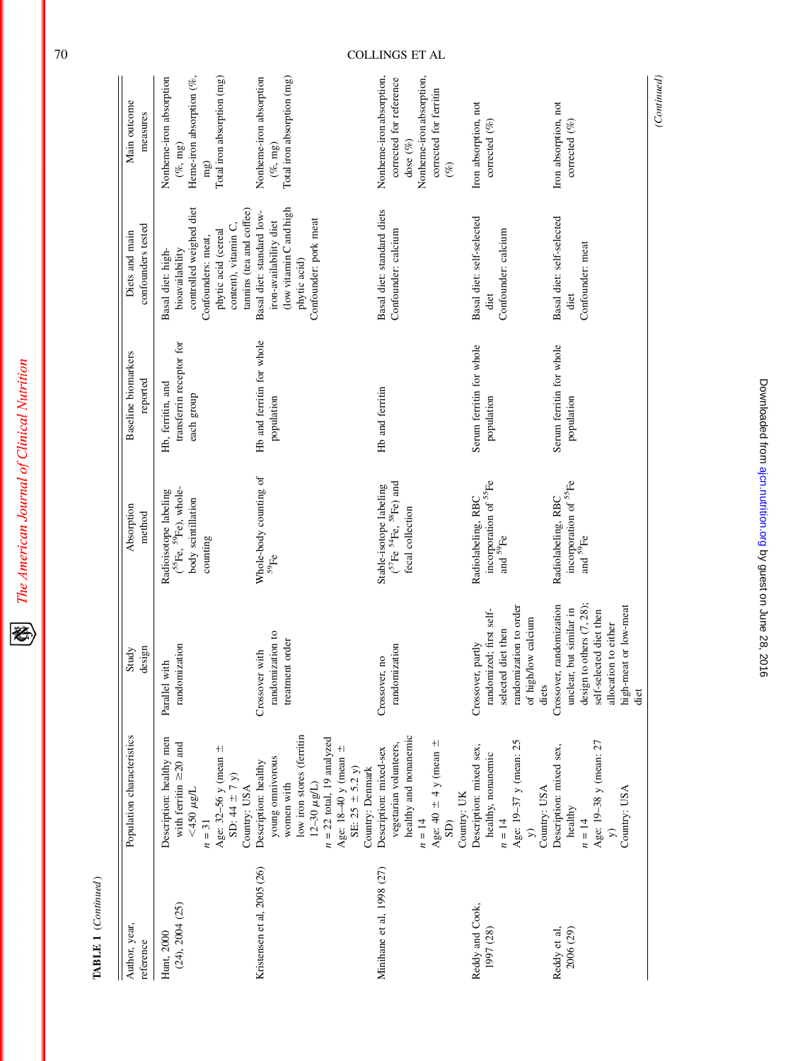| t<br>ŗ<br>ŕ |  |
|-------------|--|

| Author, year,                     | Population characteristics                                                                                                                                                          | Study                                                                                                                                                                      | Absorption                                                                                 | <b>Baseline</b> biomarkers                                  | Diets and main                                                                                                                                      | Main outcome                                                                                                                       |
|-----------------------------------|-------------------------------------------------------------------------------------------------------------------------------------------------------------------------------------|----------------------------------------------------------------------------------------------------------------------------------------------------------------------------|--------------------------------------------------------------------------------------------|-------------------------------------------------------------|-----------------------------------------------------------------------------------------------------------------------------------------------------|------------------------------------------------------------------------------------------------------------------------------------|
| reference                         |                                                                                                                                                                                     | design                                                                                                                                                                     | method                                                                                     | reported                                                    | confounders tested                                                                                                                                  | measures                                                                                                                           |
| $(24)$ , $2004(25)$<br>Hunt, 2000 | Description: healthy men<br>with ferritin $\geq 20$ and<br>Age: 32-56 y (mean $\pm$<br>SD: $44 \pm 7$ y)<br>$-1$ % $\sigma$<br>$n=31$                                               | randomization<br>with<br>Parallel                                                                                                                                          | $(^{55}Fe, \ ^{59}Fe)$ , whole-<br>Radioisotope labeling<br>body scintillation<br>counting | transferrin receptor for<br>Hb, ferritin, and<br>each group | controlled weighed diet<br>content), vitamin C,<br>phytic acid (cereal<br>Confounders: meat,<br>bioavailability<br>Basal diet: high-                | Nonheme-iron absorption<br>Heme-iron absorption $(%$ ,<br>Total iron absorption (mg)<br>$(\%$ , mg)<br>mg)                         |
| Kristensen et al, 2005 (26)       | low iron stores (ferritin<br>$n = 22$ total, 19 analyzed<br>young omnivorous<br>Age: $18-40$ y (mean<br>Description: healthy<br>12–30 $\mu\text{gL})$<br>women with<br>Country: USA | randomization to<br>treatment order<br>Crossover with                                                                                                                      | Whole-body counting of<br>$^{59}$ Fe                                                       | Hb and ferritin for whole<br>population                     | tannins (tea and coffee)<br>(low vitamin C and high<br>Basal diet: standard low-<br>Confounder: pork meat<br>iron-availability diet<br>phytic acid) | Total iron absorption (mg)<br>Nonheme-iron absorption<br>$(\%$ , mg)                                                               |
|                                   | SE: $25 \pm 5.2$ y)<br>Country: Denmark                                                                                                                                             |                                                                                                                                                                            |                                                                                            |                                                             |                                                                                                                                                     |                                                                                                                                    |
| Minihane et al, 1998 (27)         | healthy and nonanemic<br>Age: 40 $\pm$ 4 y (mean $\pm$<br>vegetarian volunteers,<br>Description: mixed-sex<br>Country: UK<br>$n = 14$<br>SD)                                        | randomization<br>Crossover, no                                                                                                                                             | $(^{57}Fe~^{54}Fe,~^{58}Fe)$ and<br>Stable-isotope labeling<br>fecal collection            | Hb and ferritin                                             | Basal diet: standard diets<br>Confounder: calcium                                                                                                   | Nonheme-iron absorption,<br>Nonheme-iron absorption,<br>corrected for reference<br>corrected for ferritin<br>dose $(\%)$<br>$(\%)$ |
| Reddy and Cook,<br>1997 (28)      | Age: 19-37 y (mean: 25<br>Description: mixed sex,<br>healthy, nonanemic<br>Country: USA<br>$n = 14$                                                                                 | randomization to order<br>randomized; first self-<br>of high/low calcium<br>selected diet then<br>Crossover, partly<br>diets                                               | incorporation of <sup>55</sup> Fe<br>Radiolabeling, RBC<br>and <sup>59</sup> Fe            | Serum ferritin for whole<br>population                      | Basal diet: self-selected<br>Confounder: calcium<br>diet                                                                                            | Iron absorption, not<br>corrected $(\%)$                                                                                           |
| Reddy et al,<br>2006 (29)         | Age: 19-38 y (mean: 27<br>Description: mixed sex,<br>Country: USA<br>healthy<br>$n = 14$                                                                                            | to others $(7, 28)$ ;<br>Crossover, randomization<br>high-meat or low-meat<br>unclear, but similar in<br>self-selected diet then<br>allocation to either<br>design<br>diet | incorporation of <sup>55</sup> Fe<br>Radiolabeling, RBC<br>and <sup>59</sup> Fe            | Serum ferritin for whole<br>population                      | Basal diet: self-selected<br>Confounder: meat<br>diet                                                                                               | Iron absorption, not<br>corrected $(\%$                                                                                            |

 $(Continued) % \begin{minipage}[b]{0.5\linewidth} \centering \centerline{\includegraphics[width=0.5\linewidth]{images/STM1000.pdf} \centerline{\includegraphics[width=0.5\linewidth]{images/STM1000.pdf} \centerline{\includegraphics[width=0.5\linewidth]{images/STM1000.pdf} \centerline{\includegraphics[width=0.5\linewidth]{images/STM1000.pdf} \centerline{\includegraphics[width=0.5\linewidth]{images/STM1000.pdf} \centerline{\includegraphics[width=0.5\linewidth]{images/STM1000.pdf} \centerline{\includegraphics[width=0.5\linewidth]{images/STM1000.pdf} \centerline{\includegraphics[width=0.5\linewidth]{images/STM100$ (Continued)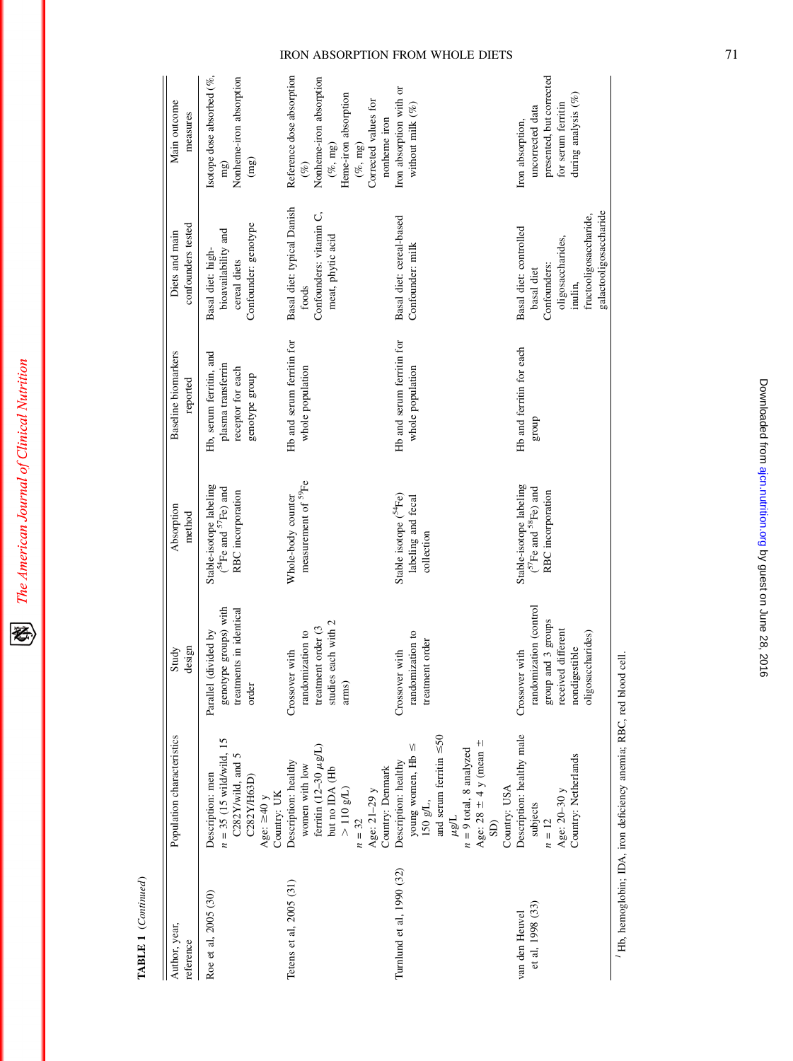| į                |
|------------------|
| L<br>٦<br>F<br>г |

谷

| Author, year,<br>reference         | Population characteristics                                                                                                                                                            | design<br>Study                                                                                                            | Absorption<br>method                                                           | Baseline biomarkers<br>reported                                                      | confounders tested<br>Diets and main                                                                                                     | Main outcome<br>measures                                                                                                                                     |
|------------------------------------|---------------------------------------------------------------------------------------------------------------------------------------------------------------------------------------|----------------------------------------------------------------------------------------------------------------------------|--------------------------------------------------------------------------------|--------------------------------------------------------------------------------------|------------------------------------------------------------------------------------------------------------------------------------------|--------------------------------------------------------------------------------------------------------------------------------------------------------------|
| Roe et al, 2005 (30)               | $n = 35$ (15 wild/wild, 15<br>C282Y/wild, and 5<br>Description: men<br>C282Y/H63D)<br>Country: UK<br>Age: $\geq 40$ y                                                                 | genotype groups) with<br>treatments in identical<br>Parallel (divided by<br>order                                          | Stable-isotope labeling<br>$(^{54}Fe$ and $^{57}Fe)$ and<br>RBC incorporation  | Hb, serum ferritin, and<br>plasma transferrin<br>receptor for each<br>genotype group | Confounder: genotype<br>bioavailability and<br>Basal diet: high-<br>cereal diets                                                         | Isotope dose absorbed (%,<br>Nonheme-iron absorption<br>(mg)<br>mg)                                                                                          |
| Tetens et al, 2005 (31)            | ferritin $(12-30 \ \mu g/L)$<br>Description: healthy<br>women with low<br>Country: Denmark<br>but no IDA (Hb<br>Age: 21-29 y<br>$>$ 110 g/L)<br>$n = 32$                              | studies each with 2<br>treatment order (3<br>randomization to<br>Crossover with<br>arms)                                   | measurement of <sup>59</sup> Fe<br>Whole-body counter                          | Hb and serum ferritin for<br>whole population                                        | Basal diet: typical Danish<br>Confounders: vitamin C,<br>meat, phytic acid<br>foods                                                      | Reference dose absorption<br>Nonheme-iron absorption<br>Heme-iron absorption<br>Corrected values for<br>nonheme iron<br>$(\% ,$ mg)<br>$(\% ,$ mg)<br>$(\%)$ |
| Turnlund et al, 1990 (32)          | and serum ferritin $\leq$ 50<br>Age: 28 $\pm$ 4 y (mean $\pm$<br>young women, $Hb \leq$<br>$n = 9$ total, 8 analyzed<br>Description: healthy<br>Country: USA<br>150 g/L,<br>$\mu$ g/L | randomization to<br>treatment order<br>Crossover with                                                                      | Stable isotope $(^{54}\mathrm{Fe})$<br>labeling and fecal<br>collection        | Hb and serum ferritin for<br>whole population                                        | Basal diet: cereal-based<br>Confounder: milk                                                                                             | Iron absorption with or<br>without milk $(\%)$                                                                                                               |
| et al, 1998 (33)<br>van den Heuvel | Description: healthy male<br>Country: Netherlands<br>Age: 20-30 y<br>subjects<br>$n = 12$                                                                                             | randomization (control<br>group and 3 groups<br>received different<br>oligosaccharides)<br>nondigestible<br>Crossover with | Stable-isotope labeling<br>$(^{57}Fe$ and $^{58}Fe$ ) and<br>RBC incorporation | Hb and ferritin for each<br>group                                                    | galactooligosaccharide<br>fructooligosaccharide,<br>Basal diet: controlled<br>oligosaccharides,<br>Confounders:<br>basal diet<br>inulin, | presented, but corrected<br>during analysis (%)<br>for serum ferritin<br>uncorrected data<br>Iron absorption,                                                |

<sup>1</sup>Hb, hemoglobin; IDA, iron deficiency anemia; RBC, red blood cell. Hb, hemoglobin; IDA, iron deficiency anemia; RBC, red blood cell.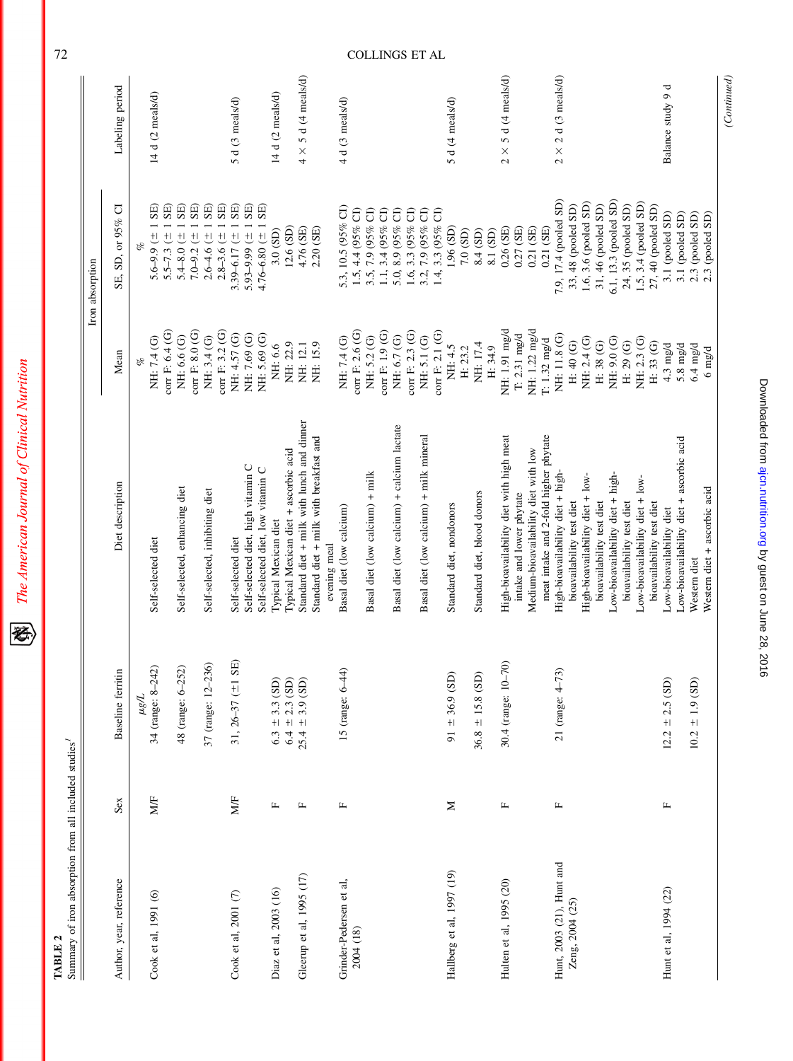| Summary of iron absorption from all included studies <sup>1</sup><br>TABLE <sub>2</sub> |     |                                           |                                                                                                                                             |                                                          |                                                                                            |                            |
|-----------------------------------------------------------------------------------------|-----|-------------------------------------------|---------------------------------------------------------------------------------------------------------------------------------------------|----------------------------------------------------------|--------------------------------------------------------------------------------------------|----------------------------|
|                                                                                         |     |                                           |                                                                                                                                             |                                                          | Iron absorption                                                                            |                            |
| Author, year, reference                                                                 | Sex | Baseline ferritin                         | Diet description                                                                                                                            | Mean                                                     | SE, SD, or 95% CI                                                                          | Labeling period            |
| Cook et al, 1991 (6)                                                                    | MÆ  | $\mu g/L$<br>34 (range: 8–242)            | Self-selected diet                                                                                                                          | NH: 7.4 (G)<br>of                                        | SE)<br>5.6–9.9 ( $\pm$<br>of                                                               | 14 d $(2 \text{ meals/d})$ |
|                                                                                         |     | 48 (range: 6-252)                         | Self-selected, enhancing diet                                                                                                               | corr F: 6.4 (G)<br>NH: 6.6 (G)                           | SE)<br>$\overline{\text{SB}}$<br>5.4-8.0 ( $\pm$ 1<br>$5.5 - 7.3$ ( $\pm$                  |                            |
|                                                                                         |     | 37 (range: 12-236)                        | Self-selected, inhibiting diet                                                                                                              | corr F: 8.0(G)<br>NH: 3.4 (G)                            | SE)<br>SE)<br>$7.0 - 9.2 (= 1)$<br>$2.6 - 4.6 (=$                                          |                            |
| Cook et al, 2001 (7)                                                                    | MÆ  | SE)<br>31, 26-37 $(\pm 1)$                | Self-selected diet, high vitamin C<br>Self-selected diet                                                                                    | corr F: 3.2 (G)<br>NH: 4.57 (G)<br>NH: 7.69 (G)          | SE)<br>SE)<br>SE)<br>5.93-9.99 $($ $\pm$ 1<br>$2.8 - 3.6$ ( $\pm$ 1<br>3.39-6.17 ( $\pm$ 1 | 5 d (3 meals/d)            |
| Diaz et al, 2003 (16)                                                                   | Щ   | $6.3 \pm 3.3$ (SD)                        | Self-selected diet, low vitamin C<br>Typical Mexican diet                                                                                   | NH: 5.69 (G)<br>NH: 6.6                                  | $\widetilde{\text{SB}}$<br>4.76-6.80 ( $\pm$ 1<br>3.0(SD)                                  | 14 d $(2 \text{ meals/d})$ |
| Gleerup et al, 1995 (17)                                                                | Щ   | $6.4 \pm 2.3$ (SD)<br>$25.4 \pm 3.9$ (SD) | Standard diet + milk with lunch and dinner<br>Standard diet + milk with breakfast and<br>Typical Mexican diet + ascorbic acid               | NH: 22.9<br>NH: 15.9<br>NH: 12.1                         | 12.6 (SD)<br>4.76 (SE)<br>2.20 (SE)                                                        | $4 \times 5$ d (4 meals/d) |
| Grinder-Pedersen et al,                                                                 | Щ   | $\overline{4}$<br>$15$ (range: $6-$       | Basal diet (low calcium)<br>evening meal                                                                                                    | NH: 7.4 (G)                                              | 5.3, 10.5 (95% CI)                                                                         | 4 d (3 meals/d)            |
| 2004 (18)                                                                               |     |                                           | Basal diet (low calcium) + milk                                                                                                             | corr F: 2.6 (G)<br>corr F: 1.9(G)<br>NH: 5.2 (G)         | 1.5, 4.4 (95% CI)<br>3.5, 7.9 (95% CI)<br>1.1, 3.4 (95% CI)                                |                            |
|                                                                                         |     |                                           | Basal diet (low calcium) + calcium lactate                                                                                                  | corr F: 2.3 (G)<br>NH: 6.7 (G)                           | 1.6, 3.3 (95% CI)<br>5.0, 8.9 (95% CI)                                                     |                            |
|                                                                                         |     |                                           | Basal diet (low calcium) + milk mineral                                                                                                     | corr F: 2.1 (G)<br>NH: 5.1 (G)                           | $\Theta$<br>$\Theta$<br>3.2, 7.9 (95%<br>1.4, 3.3 (95%                                     |                            |
| Hallberg et al, 1997 (19)                                                               | Σ   | $91 \pm 36.9$ (SD)                        | Standard diet, nondonors                                                                                                                    | NH: 4.5<br>H: 23.2                                       | 1.96 (SD)<br>7.0 (SD)                                                                      | 5 d (4 meals/d)            |
|                                                                                         |     | $36.8 \pm 15.8$ (SD)                      | Standard diet, blood donors                                                                                                                 | NH: 17.4<br>H: 34.9                                      | 8.4 (SD)<br>8.1 (SD)                                                                       |                            |
| Hulten et al, 1995 (20)                                                                 | щ   | 30.4 (range: 10-70)                       | High-bioavailability diet with high meat<br>Medium-bioavailability diet with low<br>intake and lower phytate                                | NH: 1.91 mg/d<br>NH: 1.22 mg/d<br>$T: 2.31$ mg/d         | $0.26$ (SE)<br>$0.27$ (SE)<br>$0.21$ (SE)<br>0.21(SE)                                      | $2 \times 5$ d (4 meals/d) |
| Hunt, 2003 (21), Hunt and<br>Zeng, 2004 (25)                                            | щ   | 21 (range: 4-73)                          | meat intake and 2-fold higher phytate<br>High-bioavailability diet + high-<br>High-bioavailability diet + low-<br>bioavailability test diet | NH: 11.8 (G)<br>NH: 2.4 (G)<br>T: 1.32 mg/d<br>H: 40 (G) | 7.9, 17.4 (pooled SD)<br>1.6, 3.6 (pooled SD)<br>33, 48 (pooled SD)                        | $2 \times 2 d$ (3 meals/d) |
|                                                                                         |     |                                           | Low-bioavailability diet + high-<br>Low-bioavailability diet + low-<br>bioavailability test diet<br>bioavailability test diet               | NH: 9.0 (G)<br>NH: 2.3 (G)<br>H: 38 (G)<br>H: 29 (G)     | 6.1, 13.3 (pooled SD)<br>1.5, 3.4 (pooled SD)<br>24, 35 (pooled SD)<br>31, 46 (pooled SD)  |                            |
| Hunt et al, 1994 (22)                                                                   | щ   | $12.2 \pm 2.5$ (SD)                       | Low-bioavailability diet + ascorbic acid<br>bioavailability test diet<br>Low-bioavailability diet                                           | H: 33 (G)<br>4.3 mg/d<br>5.8 mg/d                        | 27, 40 (pooled SD)<br>3.1 (pooled SD)<br>3.1 (pooled SD)                                   | Balance study 9 d          |
|                                                                                         |     | $10.2 \pm 1.9$ (SD)                       | Western diet + ascorbic acid<br>Western diet                                                                                                | $6.4$ mg/d<br>$6$ mg/d                                   | 2.3 (pooled SD)<br>2.3 (pooled SD)                                                         |                            |

72 COLLINGS ET AL

The American Journal of Clinical Nutrition

谷

Downloaded from ajon nutrition org by guest on June 28, 2016 by guest on June 28, 2016 [ajcn.nutrition.org](http://ajcn.nutrition.org/) Downloaded from

 $(Continued) % \begin{minipage}[b]{0.5\linewidth} \centering \centerline{\includegraphics[width=0.5\linewidth]{images/STM100020.jpg} \centerline{\includegraphics[width=0.5\linewidth]{images/STM100020.jpg} \centerline{\includegraphics[width=0.5\linewidth]{images/STM100020.jpg} \centerline{\includegraphics[width=0.5\linewidth]{images/STM100020.jpg} \centerline{\includegraphics[width=0.5\linewidth]{images/STM100020.jpg} \centerline{\includegraphics[width=0.5\linewidth]{images/STM100020.jpg} \centerline{\includegraphics[width=0.5\linewidth]{images/STM100020.jpg} \centerline{\includegraphics[width$ (Continued)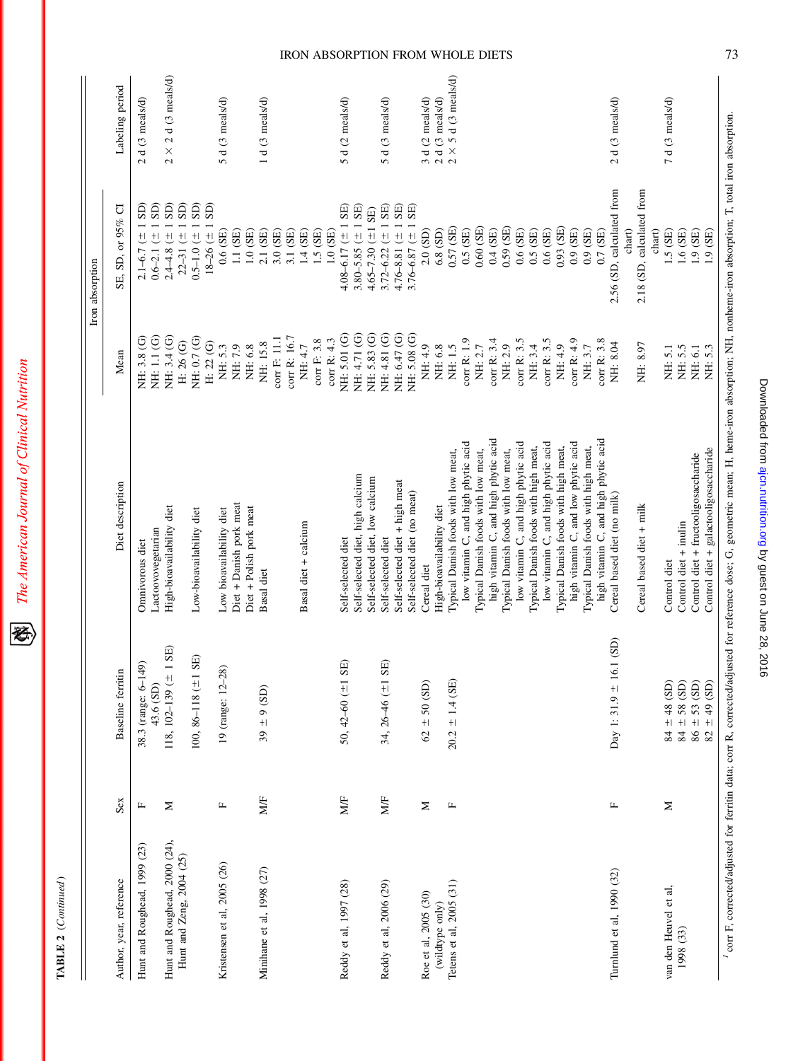|                               |     |                                                         |                                       |              | Iron absorption                               |                                               |
|-------------------------------|-----|---------------------------------------------------------|---------------------------------------|--------------|-----------------------------------------------|-----------------------------------------------|
| Author, year, reference       | Sex | Baseline ferritin                                       | Diet description                      | Mean         | SE, SD, or 95% CI                             | Labeling period                               |
| Hunt and Roughead, 1999 (23)  | щ   | 38.3 (range: 6-149)                                     | Omnivorous diet                       | NH: 3.8 (G)  | $\overline{\text{SD}}$<br>$2.1 - 6.7$ ( $\pm$ | d (3 meals/d)<br>$\mathbf{\Omega}$            |
|                               |     | 43.6 (SD)                                               | Lactoovovegetarian                    | NH: 1.1 (G)  | SD)<br>$0.6 - 2.1 (= 1)$                      |                                               |
| Hunt and Roughead, 2000 (24), | z   | $1$ SE)<br>118, 102-139 ( $\pm$                         | High-bioavailability diet             | NH: 3.4 (G)  | SD)<br>$2.4 - 4.8$ ( $\pm$ 1                  | 2 d (3 meals/d)<br>$\times$<br>$\mathcal{L}$  |
| Hunt and Zeng, 2004 (25)      |     |                                                         |                                       | H: 26 (G)    | SD)<br>$22-31 (= 1)$                          |                                               |
|                               |     | SE)<br>100, 86-118 $(\pm 1)$                            | Low-bioavailability diet              | NH: 0.7 (G)  | SD)<br>$0.5 - 1.0 (= 1$                       |                                               |
|                               |     |                                                         |                                       | H: 22 (G)    | SD)<br>$18-26 (= 1$                           |                                               |
| Kristensen et al, 2005 (26)   | щ   | 19 (range: 12-28)                                       | Low bioavailability diet              | NH: 5.3      | $0.6$ (SE)                                    | 5 d (3 meals/d)                               |
|                               |     |                                                         | Diet + Danish pork meat               | NH: 7.9      | 1.1 (SE)                                      |                                               |
|                               |     |                                                         | Diet + Polish pork meat               | NH: 6.8      | $1.0$ (SE)                                    |                                               |
| Minihane et al, 1998 (27)     | MÆ  | $39 \pm 9$ (SD)                                         | Basal diet                            | NH: 15.8     | 2.1 (SE)                                      | 1 d (3 meals/d)                               |
|                               |     |                                                         |                                       | corr F: 11.1 | 3.0 (SE)                                      |                                               |
|                               |     |                                                         |                                       | corr R: 16.7 | 3.1 (SE)                                      |                                               |
|                               |     |                                                         | Basal diet + calcium                  | NH: 4.7      | $1.4$ (SE)                                    |                                               |
|                               |     |                                                         |                                       | corr F: 3.8  | $1.5$ (SE)                                    |                                               |
|                               |     |                                                         |                                       | corr R: 4.3  | $1.0$ (SE)                                    |                                               |
| Reddy et al, 1997 (28)        | MÆ  | 50, 42-60 ( $\pm$ 1 SE)                                 | Self-selected diet                    | NH: 5.01 (G) | SE)<br>$4.08 - 6.17 \ (\pm 1)$                | 5 d (2 meals/d)                               |
|                               |     |                                                         | Self-selected diet, high calcium      | NH: 4.71 (G) | 3.80-5.85 ( $\pm$ 1 SE)                       |                                               |
|                               |     |                                                         | Self-selected diet, low calcium       | NH: 5.83 (G) | 4.65-7.30 ( $\pm$ 1 SE)                       |                                               |
| Reddy et al, 2006 (29)        | MÆ  | 34, 26-46 $(\pm 1$ SE)                                  | Self-selected diet                    | NH: 4.81 (G) | $3.72 - 6.22$ ( $\pm$ 1 SE)                   | d (3 meals/d)<br>5                            |
|                               |     |                                                         | Self-selected diet + high meat        | NH: 6.47 (G) | SE)<br>$4.76 - 8.81 \ (\pm 1)$                |                                               |
|                               |     |                                                         | Self-selected diet (no meat)          | NH: 5.08 (G) | SE)<br>$3.76 - 6.87$ ( $\pm$ 1                |                                               |
| Roe et al, 2005 (30)          | Σ   | $62 \pm 50$ (SD)                                        | Cereal diet                           | NH: 4.9      | 2.0(SD)                                       | 3 d (2 meals/d)                               |
| (wildtype only)               |     |                                                         | High-bioavailability diet             | NH: 6.8      | 6.8(SD)                                       | $2$ d $(3 \text{ meals/d})$                   |
| Tetens et al, 2005 (31)       | щ   | $20.2 \pm 1.4$ (SE)                                     | Typical Danish foods with low meat,   | NH: 1.5      | 0.57(SE)                                      | $\times$ 5 d (3 meals/d)<br>$\mathbf{\Omega}$ |
|                               |     |                                                         | low vitamin C, and high phytic acid   | corr R: 1.9  | 0.5(SE)                                       |                                               |
|                               |     |                                                         | Typical Danish foods with low meat,   | NH: 2.7      | $0.60$ (SE)                                   |                                               |
|                               |     |                                                         | high vitamin C, and high phytic acid  | corr R: 3.4  | $0.4$ (SE)                                    |                                               |
|                               |     |                                                         | Typical Danish foods with low meat,   | NH: 2.9      | $0.59$ (SE)                                   |                                               |
|                               |     |                                                         |                                       |              |                                               |                                               |
|                               |     |                                                         | low vitamin C, and high phytic acid   | corr R: 3.5  | 0.6(SE)                                       |                                               |
|                               |     |                                                         | Typical Danish foods with high meat,  | NH: 3.4      | $0.5$ (SE)                                    |                                               |
|                               |     |                                                         | low vitamin C, and high phytic acid   | corr R: 3.5  | $0.6$ (SE)                                    |                                               |
|                               |     |                                                         | Typical Danish foods with high meat,  | NH: 4.9      | $0.93$ (SE)                                   |                                               |
|                               |     |                                                         | high vitamin C, and low phytic acid   | corr R: 4.9  | $0.9$ (SE)                                    |                                               |
|                               |     |                                                         | Typical Danish foods with high meat,  | NH: 3.7      | $0.9$ (SE)                                    |                                               |
|                               |     |                                                         | high vitamin C, and high phytic acid  | corr R: 3.8  | 0.7(SE)                                       |                                               |
| Turnlund et al, 1990 (32)     | щ   | Day 1: 31.9 $\pm$ 16.1 (SD)                             | Cereal based diet (no milk)           | NH: 8.04     | 2.56 (SD, calculated from                     | 2 d (3 meals/d)                               |
|                               |     |                                                         |                                       |              | chart)                                        |                                               |
|                               |     |                                                         | Cereal based diet + milk              | NH: 8.97     | 2.18 (SD, calculated from<br>chart)           |                                               |
| van den Heuvel et al,         | Σ   | $84 \pm 48$ (SD)                                        | Control diet                          | NH: 5.1      | .5(SE)                                        | 7 d (3 meals/d)                               |
|                               |     |                                                         |                                       |              |                                               |                                               |
| 1998 (33)                     |     | $84 \pm 58$ (SD)                                        | Control diet $+$ inulin               | NH: 5.5      | 1.6(SE)                                       |                                               |
|                               |     | $\frac{86 \pm 53 \text{ (SD)}}{82 \pm 49 \text{ (SD)}}$ | Control diet + fructooligosaccharide  | NH: 6.1      | $1.9$ (SE)                                    |                                               |
|                               |     |                                                         | Control diet + galactooligosaccharide | NH: 5.3      | 1.9 (SE)                                      |                                               |

' corr F, corrected/adjusted for ferritin data; corr R, corrected/adjusted for reference dose; G, geometric mean; H, heme-iron absorption; NH, nonheme-iron absorption; T, total iron absorption. corr F, corrected/adjusted for ferritin data; corr R, corrected/adjusted for reference dose; G, geometric mean; H, heme-iron absorption; NH, nonheme-iron absorption; T, total iron absorption.

by guest on June 28, 2016 [ajcn.nutrition.org](http://ajcn.nutrition.org/) Downloaded from

Downloaded from ajon.nutrition.org by guest on June 28, 2016

IRON ABSORPTION FROM WHOLE DIETS 73

The American Journal of Clinical Nutrition 经

> $\label{thm:rank2} \textbf{TABLE 2}\ (\textit{Continued})$ TABLE 2 (Continued)

 $\parallel$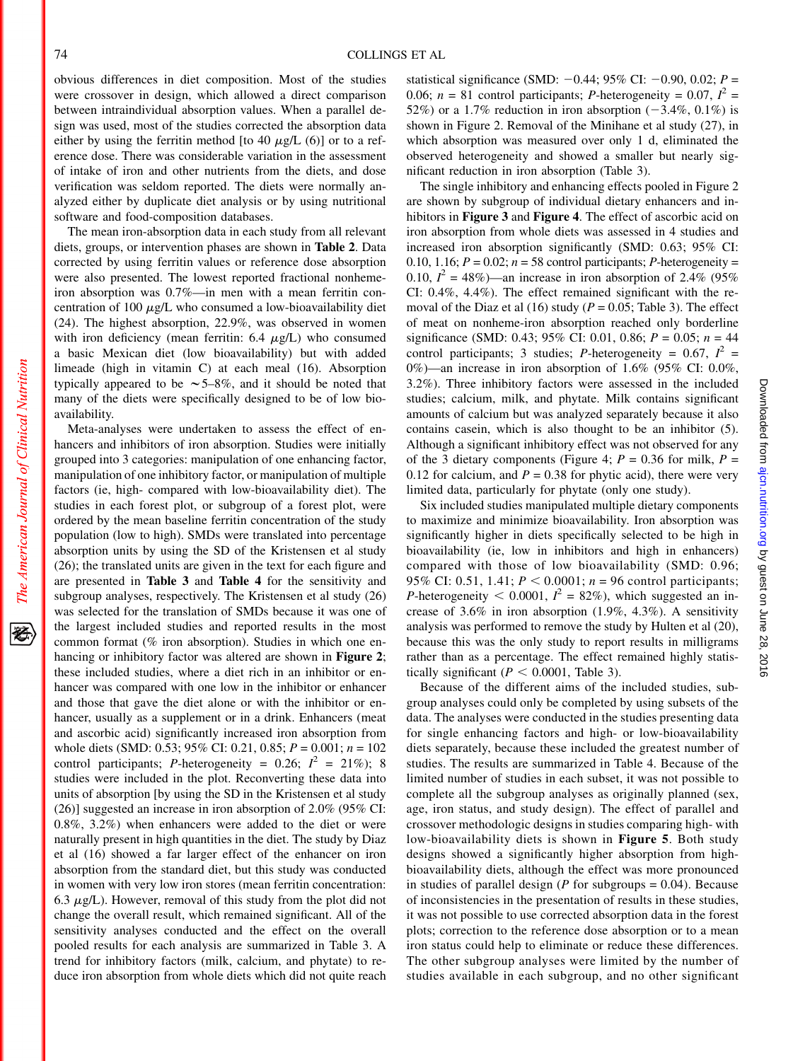obvious differences in diet composition. Most of the studies were crossover in design, which allowed a direct comparison between intraindividual absorption values. When a parallel design was used, most of the studies corrected the absorption data either by using the ferritin method [to 40  $\mu$ g/L (6)] or to a reference dose. There was considerable variation in the assessment of intake of iron and other nutrients from the diets, and dose verification was seldom reported. The diets were normally analyzed either by duplicate diet analysis or by using nutritional software and food-composition databases.

The mean iron-absorption data in each study from all relevant diets, groups, or intervention phases are shown in Table 2. Data corrected by using ferritin values or reference dose absorption were also presented. The lowest reported fractional nonhemeiron absorption was 0.7%—in men with a mean ferritin concentration of 100  $\mu$ g/L who consumed a low-bioavailability diet (24). The highest absorption, 22.9%, was observed in women with iron deficiency (mean ferritin:  $6.4 \mu g/L$ ) who consumed a basic Mexican diet (low bioavailability) but with added limeade (high in vitamin C) at each meal (16). Absorption typically appeared to be  $\sim 5-8\%$ , and it should be noted that many of the diets were specifically designed to be of low bioavailability.

Meta-analyses were undertaken to assess the effect of enhancers and inhibitors of iron absorption. Studies were initially grouped into 3 categories: manipulation of one enhancing factor, manipulation of one inhibitory factor, or manipulation of multiple factors (ie, high- compared with low-bioavailability diet). The studies in each forest plot, or subgroup of a forest plot, were ordered by the mean baseline ferritin concentration of the study population (low to high). SMDs were translated into percentage absorption units by using the SD of the Kristensen et al study (26); the translated units are given in the text for each figure and are presented in Table 3 and Table 4 for the sensitivity and subgroup analyses, respectively. The Kristensen et al study (26) was selected for the translation of SMDs because it was one of the largest included studies and reported results in the most common format (% iron absorption). Studies in which one enhancing or inhibitory factor was altered are shown in **Figure 2**; these included studies, where a diet rich in an inhibitor or enhancer was compared with one low in the inhibitor or enhancer and those that gave the diet alone or with the inhibitor or enhancer, usually as a supplement or in a drink. Enhancers (meat and ascorbic acid) significantly increased iron absorption from whole diets (SMD: 0.53; 95% CI: 0.21, 0.85;  $P = 0.001$ ;  $n = 102$ control participants; *P*-heterogeneity = 0.26;  $I^2$  = 21%); 8 studies were included in the plot. Reconverting these data into units of absorption [by using the SD in the Kristensen et al study (26)] suggested an increase in iron absorption of 2.0% (95% CI: 0.8%, 3.2%) when enhancers were added to the diet or were naturally present in high quantities in the diet. The study by Diaz et al (16) showed a far larger effect of the enhancer on iron absorption from the standard diet, but this study was conducted in women with very low iron stores (mean ferritin concentration: 6.3  $\mu$ g/L). However, removal of this study from the plot did not change the overall result, which remained significant. All of the sensitivity analyses conducted and the effect on the overall pooled results for each analysis are summarized in Table 3. A trend for inhibitory factors (milk, calcium, and phytate) to reduce iron absorption from whole diets which did not quite reach

statistical significance (SMD:  $-0.44$ ; 95% CI:  $-0.90$ , 0.02; P = 0.06;  $n = 81$  control participants; P-heterogeneity = 0.07,  $I^2$  = 52%) or a 1.7% reduction in iron absorption  $(-3.4\%, 0.1\%)$  is shown in Figure 2. Removal of the Minihane et al study (27), in which absorption was measured over only 1 d, eliminated the observed heterogeneity and showed a smaller but nearly significant reduction in iron absorption (Table 3).

The single inhibitory and enhancing effects pooled in Figure 2 are shown by subgroup of individual dietary enhancers and inhibitors in Figure 3 and Figure 4. The effect of ascorbic acid on iron absorption from whole diets was assessed in 4 studies and increased iron absorption significantly (SMD: 0.63; 95% CI: 0.10, 1.16;  $P = 0.02$ ;  $n = 58$  control participants; P-heterogeneity = 0.10,  $I^2 = 48\%$ )—an increase in iron absorption of 2.4% (95%) CI: 0.4%, 4.4%). The effect remained significant with the removal of the Diaz et al (16) study ( $P = 0.05$ ; Table 3). The effect of meat on nonheme-iron absorption reached only borderline significance (SMD: 0.43; 95% CI: 0.01, 0.86;  $P = 0.05$ ;  $n = 44$ control participants; 3 studies; P-heterogeneity = 0.67,  $I^2$  = 0%)—an increase in iron absorption of 1.6% (95% CI: 0.0%, 3.2%). Three inhibitory factors were assessed in the included studies; calcium, milk, and phytate. Milk contains significant amounts of calcium but was analyzed separately because it also contains casein, which is also thought to be an inhibitor (5). Although a significant inhibitory effect was not observed for any of the 3 dietary components (Figure 4;  $P = 0.36$  for milk,  $P =$ 0.12 for calcium, and  $P = 0.38$  for phytic acid), there were very limited data, particularly for phytate (only one study).

Six included studies manipulated multiple dietary components to maximize and minimize bioavailability. Iron absorption was significantly higher in diets specifically selected to be high in bioavailability (ie, low in inhibitors and high in enhancers) compared with those of low bioavailability (SMD: 0.96; 95% CI: 0.51, 1.41;  $P < 0.0001$ ;  $n = 96$  control participants; P-heterogeneity  $\leq 0.0001$ ,  $I^2 = 82\%$ ), which suggested an increase of 3.6% in iron absorption (1.9%, 4.3%). A sensitivity analysis was performed to remove the study by Hulten et al (20), because this was the only study to report results in milligrams rather than as a percentage. The effect remained highly statistically significant ( $P < 0.0001$ , Table 3).

Because of the different aims of the included studies, subgroup analyses could only be completed by using subsets of the data. The analyses were conducted in the studies presenting data for single enhancing factors and high- or low-bioavailability diets separately, because these included the greatest number of studies. The results are summarized in Table 4. Because of the limited number of studies in each subset, it was not possible to complete all the subgroup analyses as originally planned (sex, age, iron status, and study design). The effect of parallel and crossover methodologic designs in studies comparing high- with low-bioavailability diets is shown in Figure 5. Both study designs showed a significantly higher absorption from highbioavailability diets, although the effect was more pronounced in studies of parallel design ( $P$  for subgroups = 0.04). Because of inconsistencies in the presentation of results in these studies, it was not possible to use corrected absorption data in the forest plots; correction to the reference dose absorption or to a mean iron status could help to eliminate or reduce these differences. The other subgroup analyses were limited by the number of studies available in each subgroup, and no other significant

The American Journal of Clinical Nutrition

资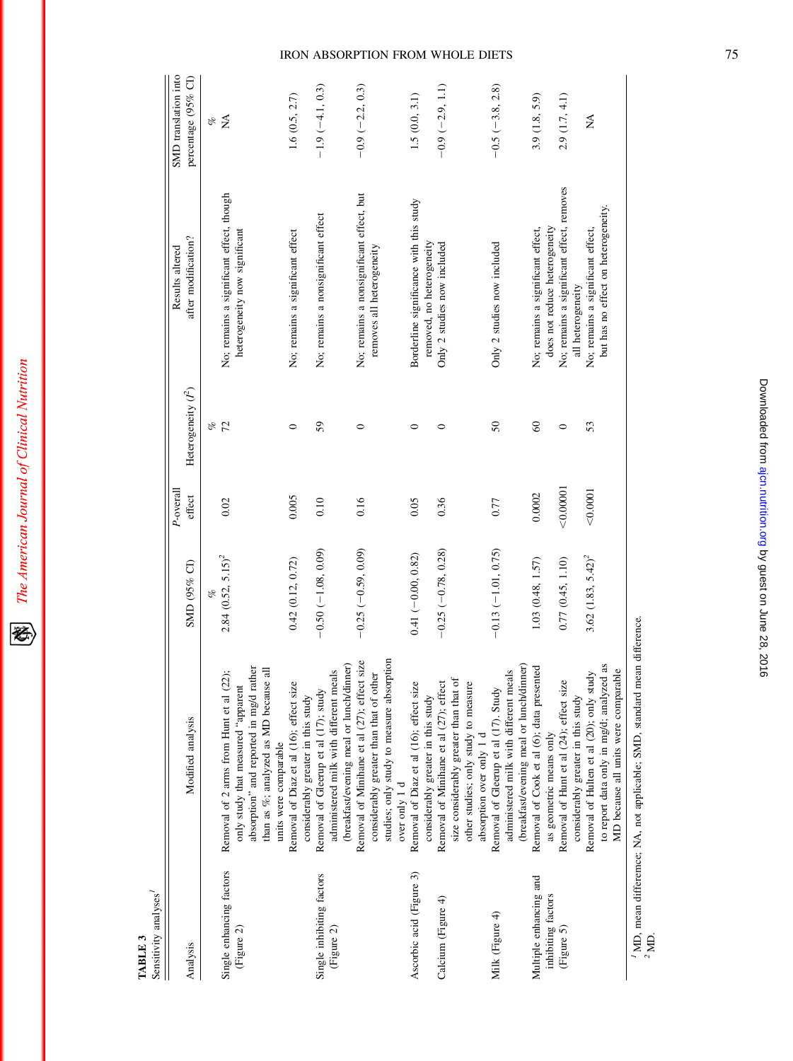> $\begin{array}{ll} \textbf{TABLE 3} \\ \textbf{Sensitivity analyses}^I \end{array}$ Sensitivity analyses<sup>1</sup> TABLE 3

|                                              |                                                                                                                                                          |                                     | P-overall |                       | Results altered                                                           | SMD translation into   |
|----------------------------------------------|----------------------------------------------------------------------------------------------------------------------------------------------------------|-------------------------------------|-----------|-----------------------|---------------------------------------------------------------------------|------------------------|
| Analysis                                     | Modified analysis                                                                                                                                        | SMD (95% CI)                        | effect    | Heterogeneity $(I^2)$ | after modification?                                                       | percentage (95% CI)    |
|                                              |                                                                                                                                                          |                                     |           |                       |                                                                           | $\mathcal{C}$          |
| Single enhancing factors<br>(Figure 2)       | Removal of 2 arms from Hunt et al (22);<br>only study that measured "apparent                                                                            | $2.84$ (0.52, $5.15$ ) <sup>2</sup> | 0.02      | 8 R                   | No; remains a significant effect, though<br>heterogeneity now significant | $\lessgtr$             |
|                                              | absorption" and reported in mg/d rather<br>than as %; analyzed as MD because all<br>units were comparable                                                |                                     |           |                       |                                                                           |                        |
|                                              | Removal of Diaz et al (16); effect size<br>considerably greater in this study                                                                            | 0.42(0.12, 0.72)                    | 0.005     | 0                     | No; remains a significant effect                                          | 1.6(0.5, 2.7)          |
| Single inhibiting factors<br>(Figure 2)      | (breakfast/evening meal or lunch/dinner)<br>administered milk with different meals<br>Removal of Gleerup et al (17); study                               | $-0.50(-1.08, 0.09)$                | 0.10      | 59                    | No; remains a nonsignificant effect                                       | $-1.9(-4.1, 0.3)$      |
|                                              | studies; only study to measure absorption<br>isize<br>considerably greater than that of other<br>Removal of Minihane et al (27); effect<br>over only 1 d | $-0.25(-0.59, 0.09)$                | 0.16      | $\circ$               | No; remains a nonsignificant effect, but<br>removes all heterogeneity     | $-0.9$ ( $-2.2$ , 0.3) |
| Ascorbic acid (Figure 3)                     | Removal of Diaz et al (16); effect size<br>considerably greater in this study                                                                            | $0.41 (-0.00, 0.82)$                | 0.05      | 0                     | Borderline significance with this study<br>removed, no heterogeneity      | 1.5(0.0, 3.1)          |
| Calcium (Figure 4)                           | size considerably greater than that of<br>Removal of Minihane et al (27); effect<br>other studies; only study to measure<br>absorption over only 1 d     | $-0.25(-0.78, 0.28)$                | 0.36      | $\circ$               | Only 2 studies now included                                               | $-0.9(-2.9, 1.1)$      |
| Milk (Figure 4)                              | (breakfast/evening meal or lunch/dinner)<br>administered milk with different meals<br>Removal of Gleerup et al (17). Study                               | $-0.13(-1.01, 0.75)$                | 0.77      | 50                    | Only 2 studies now included                                               | $-0.5 (-3.8, 2.8)$     |
| Multiple enhancing and<br>inhibiting factors | Removal of Cook et al (6); data presented<br>as geometric means only                                                                                     | 1.03 (0.48, 1.57)                   | 0.0002    | $\infty$              | does not reduce heterogeneity<br>No; remains a significant effect,        | 3.9(1.8, 5.9)          |
| (Figure 5)                                   | Removal of Hunt et al (24); effect size<br>considerably greater in this study                                                                            | 0.77(0.45, 1.10)                    | < 0.00001 | 0                     | No; remains a significant effect, removes<br>all heterogeneity            | 2.9(1.7, 4.1)          |
|                                              | to report data only in mg/d; analyzed as<br>MD because all units were comparable<br>Removal of Hulten et al (20); only study                             | $3.62$ (1.83, $5.42$ ) <sup>2</sup> | < 0.0001  | 53                    | but has no effect on heterogeneity.<br>No; remains a significant effect,  | ≸                      |
|                                              |                                                                                                                                                          |                                     |           |                       |                                                                           |                        |

MD, mean differemce; NA, not applicable; SMD, standard mean difference.

1<br>አመ.<br>2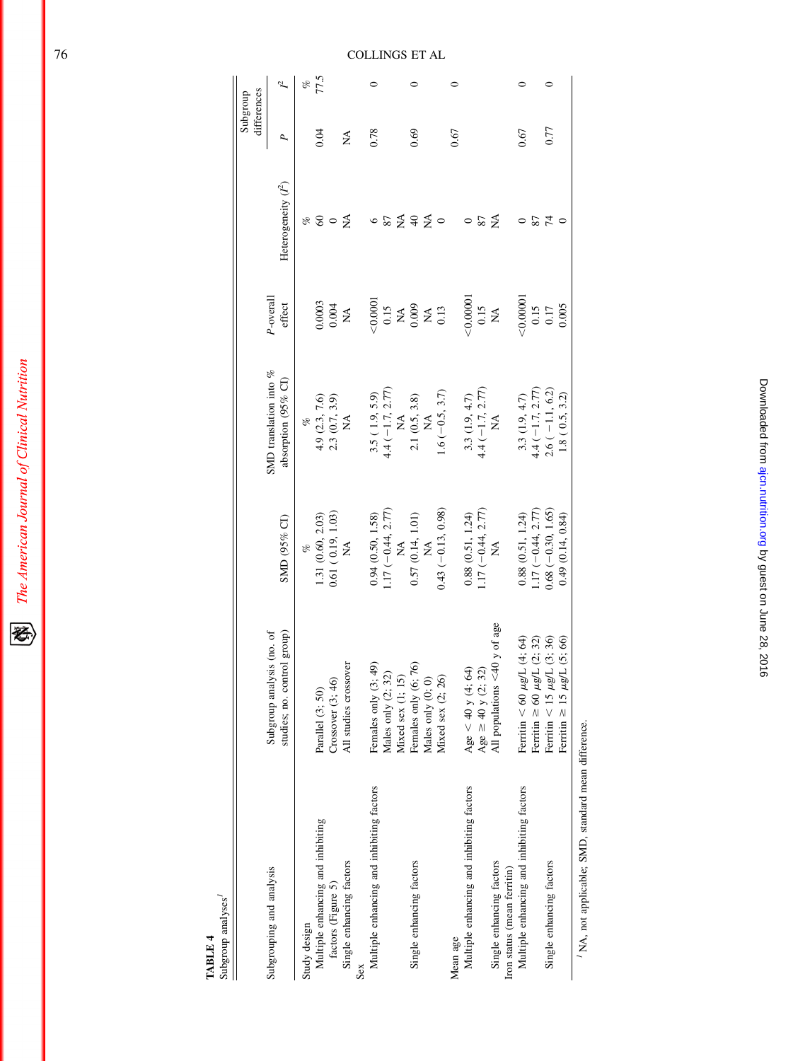TABLE 4<br>Subgroup analyses<sup>1</sup> Subgroup analyses<sup>1</sup> TABLE 4

|                                                 |                                                          |                          |                                               |                                     |                       | differences<br>Subgroup |             |
|-------------------------------------------------|----------------------------------------------------------|--------------------------|-----------------------------------------------|-------------------------------------|-----------------------|-------------------------|-------------|
| Subgrouping and analysis                        | Subgroup analysis (no. of<br>studies; no. control group) | SMD (95% CI)             | SMD translation into %<br>absorption (95% CI) | P-overal<br>effect                  | Heterogeneity $(I^2)$ | P,                      | $\tilde{f}$ |
| Study design                                    |                                                          | ofo                      | of                                            |                                     | of                    |                         |             |
| Multiple enhancing and inhibiting               | Parallel (3; 50)                                         | 1.31 (0.60, 2.03)        | 4.9 (2.3, 7.6)                                | 0.0003                              | $\degree$             | 0.04                    | 8<br>77.5   |
| factors (Figure 5)                              | Crossover $(3; 46)$                                      | 0.61(0.19, 1.03)         | 2.3(0.7, 3.9)                                 | 0.004                               | $\circ$               |                         |             |
| Single enhancing factors                        | All studies crossover                                    | Ź                        | $\lessgtr$                                    | Ş                                   | ≸                     | ≸                       |             |
| Sex                                             |                                                          |                          |                                               |                                     |                       |                         |             |
| Multiple enhancing and inhibiting factors       | Females only (3; 49)                                     | 0.94(0.50, 1.58)         | 3.5(1.9, 5.9)                                 | 0.0001                              | $\circ$               | 0.78                    | 0           |
|                                                 | Males only (2; 32)                                       | $1.17(-0.44, 2.77)$      | $4.4 (-1.7, 2.77)$                            |                                     | 87                    |                         |             |
|                                                 | Mixed sex (1; 15)                                        | Ź                        | $\tilde{\mathbb{R}}$                          |                                     | $\mathfrak{Z}$        |                         |             |
| Single enhancing factors                        | Females only (6; 76)                                     | 0.57(0.14, 1.01)         |                                               | $0.15$<br>$M$ A 0.009<br>$M$ A 0.13 | $\overline{4}$        | 0.69                    | 0           |
|                                                 | Males only (0; 0)                                        | Ź                        | $2.1(0.5, 3.8)$<br>NA                         |                                     | ₹                     |                         |             |
|                                                 | Mixed sex (2; 26)                                        | $0.43$ (-0.13, 0.98)     | $1.6 (-0.5, 3.7)$                             |                                     | $\circ$               |                         |             |
| Mean age                                        |                                                          |                          |                                               |                                     |                       | 0.67                    | 0           |
| Multiple enhancing and inhibiting factors       | Age $<$ 40 y (4; 64)                                     | 0.88(0.51, 1.24)         | 3.3(1.9, 4.7)                                 | 0.0000                              | $\circ$               |                         |             |
|                                                 | Age $\geq 40$ y (2; 32)                                  | $1.17 (-0.44, 2.77)$     | $4.4 (-1.7, 2.77)$                            | 0.15                                | 87                    |                         |             |
| Single enhancing factors                        | All populations $\leq 40$ y of age                       | Ź                        | $\lessgtr$                                    | Ź                                   | ≸                     |                         |             |
| Iron status (mean ferritin)                     |                                                          |                          |                                               |                                     |                       |                         |             |
| Multiple enhancing and inhibiting factors       | Ferritin $<$ 60 $\mu\text{g/L}$ (4; 64)                  | 0.88(0.51, 1.24)         | 3.3(1.9, 4.7)                                 | 0.0000                              |                       | 0.67                    |             |
|                                                 | Ferritin $\geq$ 60 $\mu$ g/L (2; 32)                     | $1.17(-0.44, 2.77)$      | $4.4 (-1.7, 2.77)$                            | 0.15                                | 87                    |                         |             |
| Single enhancing factors                        | Ferritin < 15 $\mu$ g/L (3; 36)                          | $0.68$ ( $-0.30$ , 1.65) | $2.6 (-1.1, 6.2)$                             | 0.17                                | 74                    | 0.77                    | 0           |
|                                                 | Ferritin $\geq$ 15 $\mu$ g/L (5; 66)                     | 0.49(0.14, 0.84)         | 1.8(0.5, 3.2)                                 | 0.005                               |                       |                         |             |
| WA pot opplicable: CMD standard mean difference |                                                          |                          |                                               |                                     |                       |                         |             |

NA, not applicable; SMD, standard mean difference.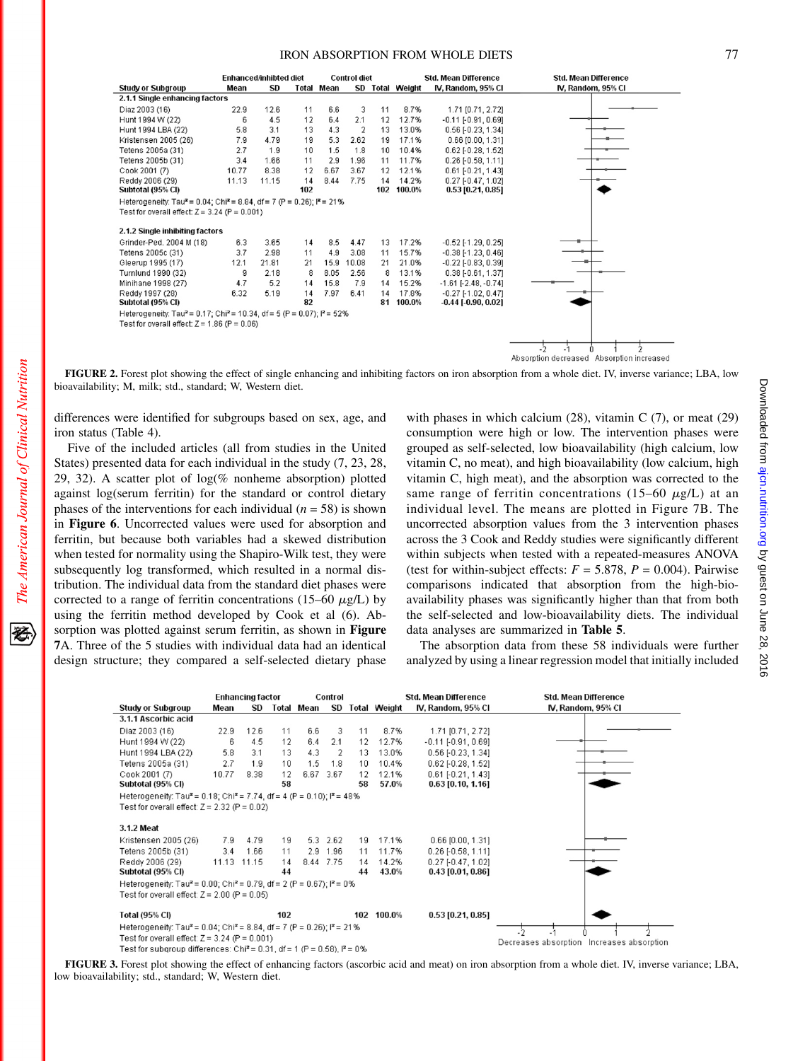|                                                                                                 |       | Enhanced/inhibted diet |     |            | <b>Control diet</b> |     |                 | <b>Std. Mean Difference</b>   | <b>Std. Mean Difference</b> |
|-------------------------------------------------------------------------------------------------|-------|------------------------|-----|------------|---------------------|-----|-----------------|-------------------------------|-----------------------------|
| <b>Study or Subgroup</b>                                                                        | Mean  | SD                     |     | Total Mean |                     |     | SD Total Weight | IV, Random, 95% CI            | IV, Random, 95% CI          |
| 2.1.1 Single enhancing factors                                                                  |       |                        |     |            |                     |     |                 |                               |                             |
| Diaz 2003 (16)                                                                                  | 22.9  | 12.6                   | 11  | 6.6        | 3                   | 11  | 8.7%            | 1.71 [0.71, 2.72]             |                             |
| Hunt 1994 W (22)                                                                                | 6     | 4.5                    | 12  | 6.4        | 2.1                 | 12  | 12.7%           | $-0.11$ [ $-0.91$ , $0.69$ ]  |                             |
| Hunt 1994 LBA (22)                                                                              | 5.8   | 3.1                    | 13  | 4.3        | $\overline{2}$      | 13  | 13.0%           | $0.56$ [ $-0.23$ , 1.34]      |                             |
| Kristensen 2005 (26)                                                                            | 7.9   | 4.79                   | 19  | 5.3        | 2.62                | 19  | 17.1%           | $0.66$ [0.00, 1.31]           |                             |
| Tetens 2005a (31)                                                                               | 2.7   | 1.9                    | 10  | 1.5        | 1.8                 | 10  | 10.4%           | $0.62$ [-0.28, 1.52]          |                             |
| Tetens 2005b (31)                                                                               | 3.4   | 1.66                   | 11  | 2.9        | 1.96                | 11  | 11.7%           | $0.26$ [-0.58, 1.11]          |                             |
| Cook 2001 (7)                                                                                   | 10.77 | 8.38                   | 12  | 6.67       | 3.67                | 12  | 12.1%           | $0.61$ [ $-0.21$ , $1.43$ ]   |                             |
| Reddy 2006 (29)                                                                                 | 11.13 | 11.15                  | 14  | 8.44       | 7.75                | 14  | 14.2%           | $0.27$ [-0.47, 1.02]          |                             |
| Subtotal (95% CI)                                                                               |       |                        | 102 |            |                     | 102 | 100.0%          | $0.53$ [0.21, 0.85]           |                             |
| Heterogeneity: Tau <sup>2</sup> = 0.04; Chi <sup>2</sup> = 8.84, df = 7 (P = 0.26); $P = 21\%$  |       |                        |     |            |                     |     |                 |                               |                             |
| Test for overall effect: $Z = 3.24$ (P = 0.001)                                                 |       |                        |     |            |                     |     |                 |                               |                             |
| 2.1.2 Single inhibiting factors                                                                 |       |                        |     |            |                     |     |                 |                               |                             |
| Grinder-Ped. 2004 M (18)                                                                        | 6.3   | 3.65                   | 14  | 8.5        | 4.47                | 13  | 17.2%           | $-0.52$ [ $-1.29$ , $0.25$ ]  |                             |
| Tetens 2005c (31)                                                                               | 3.7   | 2.98                   | 11  | 4.9        | 3.08                | 11  | 15.7%           | $-0.38$ [ $-1.23$ , $0.46$ ]  |                             |
| Gleerup 1995 (17)                                                                               | 12.1  | 21.81                  | 21  | 15.9       | 10.08               | 21  | 21.0%           | $-0.22$ [ $-0.83$ , $0.39$ ]  |                             |
| Turnlund 1990 (32)                                                                              | 9     | 2.18                   | 8   | 8.05       | 2.56                | 8   | 13.1%           | $0.38$ [ $-0.61$ , $1.37$ ]   |                             |
| Minihane 1998 (27)                                                                              | 4.7   | 5.2                    | 14  | 15.8       | 7.9                 | 14  | 15.2%           | $-1.61$ [ $-2.48$ , $-0.74$ ] |                             |
| Reddy 1997 (28)                                                                                 | 6.32  | 5.19                   | 14  | 7.97       | 6.41                | 14  | 17.8%           | $-0.27$ [ $-1.02$ , $0.47$ ]  |                             |
| Subtotal (95% CI)                                                                               |       |                        | 82  |            |                     | 81  | 100.0%          | $-0.44$ [ $-0.90, 0.02$ ]     |                             |
| Heterogeneity: Tau <sup>2</sup> = 0.17; Chi <sup>2</sup> = 10.34, df = 5 (P = 0.07); $P = 52\%$ |       |                        |     |            |                     |     |                 |                               |                             |
| Test for overall effect: $Z = 1.86$ (P = 0.06)                                                  |       |                        |     |            |                     |     |                 |                               |                             |
|                                                                                                 |       |                        |     |            |                     |     |                 |                               |                             |
|                                                                                                 |       |                        |     |            |                     |     |                 |                               | -5                          |

FIGURE 2. Forest plot showing the effect of single enhancing and inhibiting factors on iron absorption from a whole diet. IV, inverse variance; LBA, low bioavailability; M, milk; std., standard; W, Western diet.

differences were identified for subgroups based on sex, age, and iron status (Table 4).

Five of the included articles (all from studies in the United States) presented data for each individual in the study (7, 23, 28, 29, 32). A scatter plot of log(% nonheme absorption) plotted against log(serum ferritin) for the standard or control dietary phases of the interventions for each individual  $(n = 58)$  is shown in Figure 6. Uncorrected values were used for absorption and ferritin, but because both variables had a skewed distribution when tested for normality using the Shapiro-Wilk test, they were subsequently log transformed, which resulted in a normal distribution. The individual data from the standard diet phases were corrected to a range of ferritin concentrations (15–60  $\mu$ g/L) by using the ferritin method developed by Cook et al (6). Absorption was plotted against serum ferritin, as shown in Figure 7A. Three of the 5 studies with individual data had an identical design structure; they compared a self-selected dietary phase

with phases in which calcium  $(28)$ , vitamin C  $(7)$ , or meat  $(29)$ consumption were high or low. The intervention phases were grouped as self-selected, low bioavailability (high calcium, low vitamin C, no meat), and high bioavailability (low calcium, high vitamin C, high meat), and the absorption was corrected to the same range of ferritin concentrations (15–60  $\mu$ g/L) at an individual level. The means are plotted in Figure 7B. The uncorrected absorption values from the 3 intervention phases across the 3 Cook and Reddy studies were significantly different within subjects when tested with a repeated-measures ANOVA (test for within-subject effects:  $F = 5.878$ ,  $P = 0.004$ ). Pairwise comparisons indicated that absorption from the high-bioavailability phases was significantly higher than that from both the self-selected and low-bioavailability diets. The individual data analyses are summarized in Table 5.

Absorption decreased Absorption increased

The absorption data from these 58 individuals were further analyzed by using a linear regression model that initially included



FIGURE 3. Forest plot showing the effect of enhancing factors (ascorbic acid and meat) on iron absorption from a whole diet. IV, inverse variance; LBA, low bioavailability; std., standard; W, Western diet.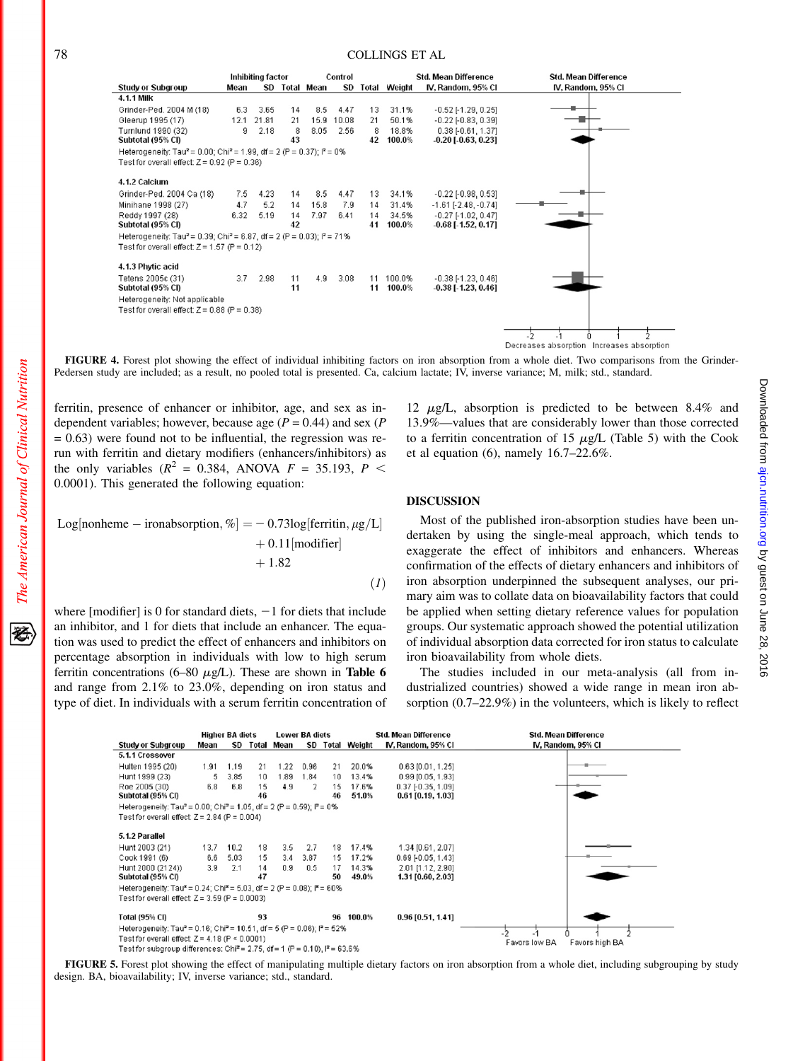|                                                                                                          |      | Inhibiting factor |    |            | Control |       |        | Std. Mean Difference          | <b>Std. Mean Difference</b>               |
|----------------------------------------------------------------------------------------------------------|------|-------------------|----|------------|---------|-------|--------|-------------------------------|-------------------------------------------|
| <b>Study or Subgroup</b>                                                                                 | Mean | SD                |    | Total Mean | SD      | Total | Weight | IV, Random, 95% CI            | IV, Random, 95% CI                        |
| 4.1.1 Milk                                                                                               |      |                   |    |            |         |       |        |                               |                                           |
| Grinder-Ped. 2004 M (18)                                                                                 | 6.3  | 3.65              | 14 | 8.5        | 4.47    | 13    | 31.1%  | $-0.52$ [ $-1.29$ , $0.25$ ]  |                                           |
| Gleerup 1995 (17)                                                                                        | 12.1 | 21.81             | 21 | 15.9       | 10.08   | 21    | 50.1%  | $-0.22$ [ $-0.83, 0.39$ ]     |                                           |
| Turnlund 1990 (32)                                                                                       | 9    | 2.18              | 8  | 8.05       | 2.56    | 8     | 18.8%  | $0.38$ $[-0.61, 1.37]$        |                                           |
| Subtotal (95% CI)                                                                                        |      |                   | 43 |            |         | 42    | 100.0% | $-0.20$ [ $-0.63$ , 0.23]     |                                           |
| Heterogeneity: Tau <sup>2</sup> = 0.00; Chi <sup>2</sup> = 1.99, df = 2 (P = 0.37); $P = 0\%$            |      |                   |    |            |         |       |        |                               |                                           |
| Test for overall effect: $Z = 0.92$ (P = 0.36)                                                           |      |                   |    |            |         |       |        |                               |                                           |
|                                                                                                          |      |                   |    |            |         |       |        |                               |                                           |
| 4.1.2 Calcium                                                                                            |      |                   |    |            |         |       |        |                               |                                           |
| Grinder-Ped. 2004 Ca (18)                                                                                | 7.5  | 4.23              | 14 | 8.5        | 4.47    | 13    | 34.1%  | $-0.22$ [ $-0.98$ , $0.53$ ]  |                                           |
| Minihane 1998 (27)                                                                                       | 4.7  | 5.2               | 14 | 15.8       | 7.9     | 14    | 31.4%  | $-1.61$ [ $-2.48$ , $-0.74$ ] |                                           |
| Reddy 1997 (28)                                                                                          | 6.32 | 5.19              | 14 | 7.97       | 6.41    | 14    | 34.5%  | $-0.27$ [ $-1.02$ , $0.47$ ]  |                                           |
| Subtotal (95% CI)                                                                                        |      |                   | 42 |            |         | 41    | 100.0% | $-0.68$ [ $-1.52$ , 0.17]     |                                           |
| Heterogeneity: Tau <sup>2</sup> = 0.39; Chi <sup>2</sup> = 6.87, df = 2 (P = 0.03); l <sup>2</sup> = 71% |      |                   |    |            |         |       |        |                               |                                           |
| Test for overall effect: $Z = 1.57$ (P = 0.12)                                                           |      |                   |    |            |         |       |        |                               |                                           |
| 4.1.3 Phytic acid                                                                                        |      |                   |    |            |         |       |        |                               |                                           |
| Tetens 2005c (31)                                                                                        | 3.7  | 2.98              | 11 | 4.9        | 3.08    | 11    | 100.0% | $-0.38$ [ $-1.23$ , $0.46$ ]  |                                           |
| Subtotal (95% CI)                                                                                        |      |                   | 11 |            |         | 11    | 100.0% | $-0.38$ [ $-1.23$ , $0.46$ ]  |                                           |
| Heterogeneity: Not applicable                                                                            |      |                   |    |            |         |       |        |                               |                                           |
| Test for overall effect: $Z = 0.88$ (P = 0.38)                                                           |      |                   |    |            |         |       |        |                               |                                           |
|                                                                                                          |      |                   |    |            |         |       |        |                               |                                           |
|                                                                                                          |      |                   |    |            |         |       |        |                               |                                           |
|                                                                                                          |      |                   |    |            |         |       |        |                               | Decreases absorption Increases absorption |
|                                                                                                          |      |                   |    |            |         |       |        |                               |                                           |

FIGURE 4. Forest plot showing the effect of individual inhibiting factors on iron absorption from a whole diet. Two comparisons from the Grinder-Pedersen study are included; as a result, no pooled total is presented. Ca, calcium lactate; IV, inverse variance; M, milk; std., standard.

ferritin, presence of enhancer or inhibitor, age, and sex as independent variables; however, because age ( $P = 0.44$ ) and sex ( $P$ )  $= 0.63$ ) were found not to be influential, the regression was rerun with ferritin and dietary modifiers (enhancers/inhibitors) as the only variables ( $R^2$  = 0.384, ANOVA  $F = 35.193$ ,  $P <$ 0.0001). This generated the following equation:

Log[nonheme – ironabsorption, %] = 
$$
- 0.73 \log[\text{ferritin}, \mu \text{g/L}] + 0.11[\text{modified}] + 1.82
$$
 (1)

where  $[{\rm modifier}]$  is 0 for standard diets,  $-1$  for diets that include an inhibitor, and 1 for diets that include an enhancer. The equation was used to predict the effect of enhancers and inhibitors on percentage absorption in individuals with low to high serum ferritin concentrations (6–80  $\mu$ g/L). These are shown in **Table 6** and range from 2.1% to 23.0%, depending on iron status and type of diet. In individuals with a serum ferritin concentration of

12  $\mu$ g/L, absorption is predicted to be between 8.4% and 13.9%—values that are considerably lower than those corrected to a ferritin concentration of 15  $\mu$ g/L (Table 5) with the Cook et al equation  $(6)$ , namely  $16.7-22.6\%$ .

#### DISCUSSION

Most of the published iron-absorption studies have been undertaken by using the single-meal approach, which tends to exaggerate the effect of inhibitors and enhancers. Whereas confirmation of the effects of dietary enhancers and inhibitors of iron absorption underpinned the subsequent analyses, our primary aim was to collate data on bioavailability factors that could be applied when setting dietary reference values for population groups. Our systematic approach showed the potential utilization of individual absorption data corrected for iron status to calculate iron bioavailability from whole diets.

The studies included in our meta-analysis (all from industrialized countries) showed a wide range in mean iron absorption (0.7–22.9%) in the volunteers, which is likely to reflect

|                                                                                                 |      | <b>Higher BA diets</b> |          |      | <b>Lower BA diets</b> |          | Std. Mean Difference |                      | Std. Mean Difference            |
|-------------------------------------------------------------------------------------------------|------|------------------------|----------|------|-----------------------|----------|----------------------|----------------------|---------------------------------|
| Study or Subgroup                                                                               | Mean | SD                     | Total    | Mean | SD                    | Total    | Weight               | IV, Random, 95% CI   | IV, Random, 95% CI              |
| 5.1.1 Crossover                                                                                 |      |                        |          |      |                       |          |                      |                      |                                 |
| Hulten 1995 (20)                                                                                | 1.91 | 1.19                   | 21       | 1.22 | 0.96                  | 21       | 20.0%                | $0.63$ [0.01, 1.25]  |                                 |
| Hunt 1999 (23)                                                                                  | 5    | 3.85                   | 10       | 1.89 | 1.84                  | 10       | 13.4%                | 0.99 [0.05, 1.93]    |                                 |
| Roe 2005 (30)                                                                                   | 6.8  | 6.8                    | 15       | 4.9  | 2                     | 15       | 17.6%                | $0.37$ [-0.35, 1.09] |                                 |
| Subtotal (95% CI)                                                                               |      |                        | 46       |      |                       | 46       | 51.0%                | $0.61$ [0.19, 1.03]  |                                 |
| Heterogeneity: Tau <sup>2</sup> = 0.00; Chi <sup>2</sup> = 1.05, df = 2 (P = 0.59); P = 0%      |      |                        |          |      |                       |          |                      |                      |                                 |
| Test for overall effect: $Z = 2.84$ (P = 0.004)                                                 |      |                        |          |      |                       |          |                      |                      |                                 |
| 5.1.2 Parallel                                                                                  |      |                        |          |      |                       |          |                      |                      |                                 |
|                                                                                                 |      |                        |          |      |                       |          |                      |                      |                                 |
| Hunt 2003 (21)                                                                                  | 13.7 | 10.2                   | 18       | 3.5  | 2.7                   | 18       | 17.4%                | 1.34 [0.61, 2.07]    |                                 |
| Cook 1991 (6)                                                                                   | 6.6  | 5.03                   | 15       | 3.4  | 3.87                  | 15       | 17.2%                | $0.69$ [-0.05, 1.43] |                                 |
| Hunt 2000 (2124))                                                                               | 3.9  | 2.1                    | 14<br>47 | 0.9  | 0.5                   | 17<br>50 | 14.3%                | 2.01 [1.12, 2.90]    |                                 |
| Subtotal (95% CI)                                                                               |      |                        |          |      |                       |          | 49.0%                | 1.31 [0.60, 2.03]    |                                 |
| Heterogeneity: Tau <sup>2</sup> = 0.24; Chi <sup>2</sup> = 5.03, df = 2 (P = 0.08); $P = 60\%$  |      |                        |          |      |                       |          |                      |                      |                                 |
| Test for overall effect: $Z = 3.59$ (P = 0.0003)                                                |      |                        |          |      |                       |          |                      |                      |                                 |
| <b>Total (95% CI)</b>                                                                           |      |                        | 93       |      |                       | 96       | 100.0%               | $0.96$ [0.51, 1.41]  |                                 |
| Heterogeneity: Tau <sup>2</sup> = 0.16; Chi <sup>2</sup> = 10.51, df = 5 (P = 0.06); $P = 52\%$ |      |                        |          |      |                       |          |                      |                      |                                 |
| Test for overall effect: $Z = 4.18$ (P $\leq 0.0001$ )                                          |      |                        |          |      |                       |          |                      |                      |                                 |
| Test for subdroup differences: Chi3 = 2.75, df = 1.7P = 0.10). $B = 63.6\%$ .                   |      |                        |          |      |                       |          |                      |                      | Favors high BA<br>Favors low BA |



The American Journal of Clinical Nutrition

经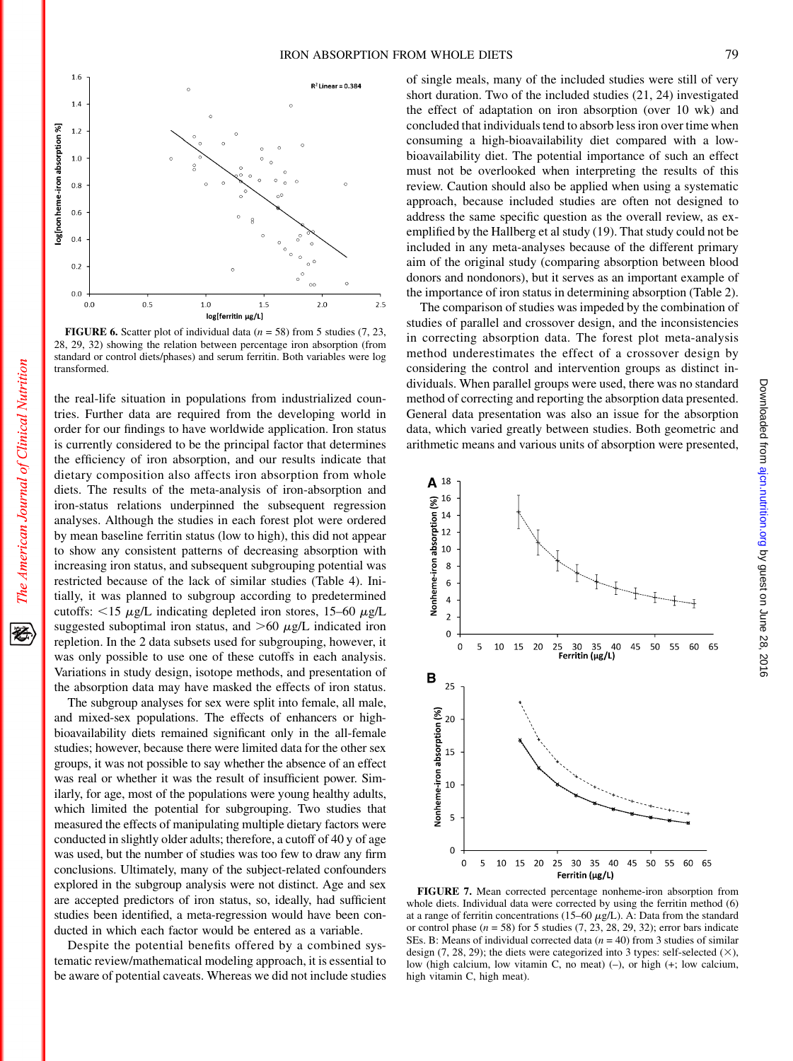

**FIGURE 6.** Scatter plot of individual data ( $n = 58$ ) from 5 studies (7, 23, 28, 29, 32) showing the relation between percentage iron absorption (from standard or control diets/phases) and serum ferritin. Both variables were log transformed.

the real-life situation in populations from industrialized countries. Further data are required from the developing world in order for our findings to have worldwide application. Iron status is currently considered to be the principal factor that determines the efficiency of iron absorption, and our results indicate that dietary composition also affects iron absorption from whole diets. The results of the meta-analysis of iron-absorption and iron-status relations underpinned the subsequent regression analyses. Although the studies in each forest plot were ordered by mean baseline ferritin status (low to high), this did not appear to show any consistent patterns of decreasing absorption with increasing iron status, and subsequent subgrouping potential was restricted because of the lack of similar studies (Table 4). Initially, it was planned to subgroup according to predetermined cutoffs:  $\langle 15 \mu g/L \rangle$  indicating depleted iron stores, 15–60  $\mu g/L$ suggested suboptimal iron status, and  $>60 \mu g/L$  indicated iron repletion. In the 2 data subsets used for subgrouping, however, it was only possible to use one of these cutoffs in each analysis. Variations in study design, isotope methods, and presentation of the absorption data may have masked the effects of iron status.

The American Journal of Clinical Nutrition

资

The subgroup analyses for sex were split into female, all male, and mixed-sex populations. The effects of enhancers or highbioavailability diets remained significant only in the all-female studies; however, because there were limited data for the other sex groups, it was not possible to say whether the absence of an effect was real or whether it was the result of insufficient power. Similarly, for age, most of the populations were young healthy adults, which limited the potential for subgrouping. Two studies that measured the effects of manipulating multiple dietary factors were conducted in slightly older adults; therefore, a cutoff of 40 y of age was used, but the number of studies was too few to draw any firm conclusions. Ultimately, many of the subject-related confounders explored in the subgroup analysis were not distinct. Age and sex are accepted predictors of iron status, so, ideally, had sufficient studies been identified, a meta-regression would have been conducted in which each factor would be entered as a variable.

Despite the potential benefits offered by a combined systematic review/mathematical modeling approach, it is essential to be aware of potential caveats. Whereas we did not include studies

of single meals, many of the included studies were still of very short duration. Two of the included studies (21, 24) investigated the effect of adaptation on iron absorption (over 10 wk) and concluded that individuals tend to absorb less iron over time when consuming a high-bioavailability diet compared with a lowbioavailability diet. The potential importance of such an effect must not be overlooked when interpreting the results of this review. Caution should also be applied when using a systematic approach, because included studies are often not designed to address the same specific question as the overall review, as exemplified by the Hallberg et al study (19). That study could not be included in any meta-analyses because of the different primary aim of the original study (comparing absorption between blood donors and nondonors), but it serves as an important example of the importance of iron status in determining absorption (Table 2).

The comparison of studies was impeded by the combination of studies of parallel and crossover design, and the inconsistencies in correcting absorption data. The forest plot meta-analysis method underestimates the effect of a crossover design by considering the control and intervention groups as distinct individuals. When parallel groups were used, there was no standard method of correcting and reporting the absorption data presented. General data presentation was also an issue for the absorption data, which varied greatly between studies. Both geometric and arithmetic means and various units of absorption were presented,



FIGURE 7. Mean corrected percentage nonheme-iron absorption from whole diets. Individual data were corrected by using the ferritin method (6) at a range of ferritin concentrations (15–60  $\mu$ g/L). A: Data from the standard or control phase  $(n = 58)$  for 5 studies  $(7, 23, 28, 29, 32)$ ; error bars indicate SEs. B: Means of individual corrected data ( $n = 40$ ) from 3 studies of similar design  $(7, 28, 29)$ ; the diets were categorized into 3 types: self-selected  $(\times)$ , low (high calcium, low vitamin C, no meat) (–), or high (+; low calcium, high vitamin C, high meat).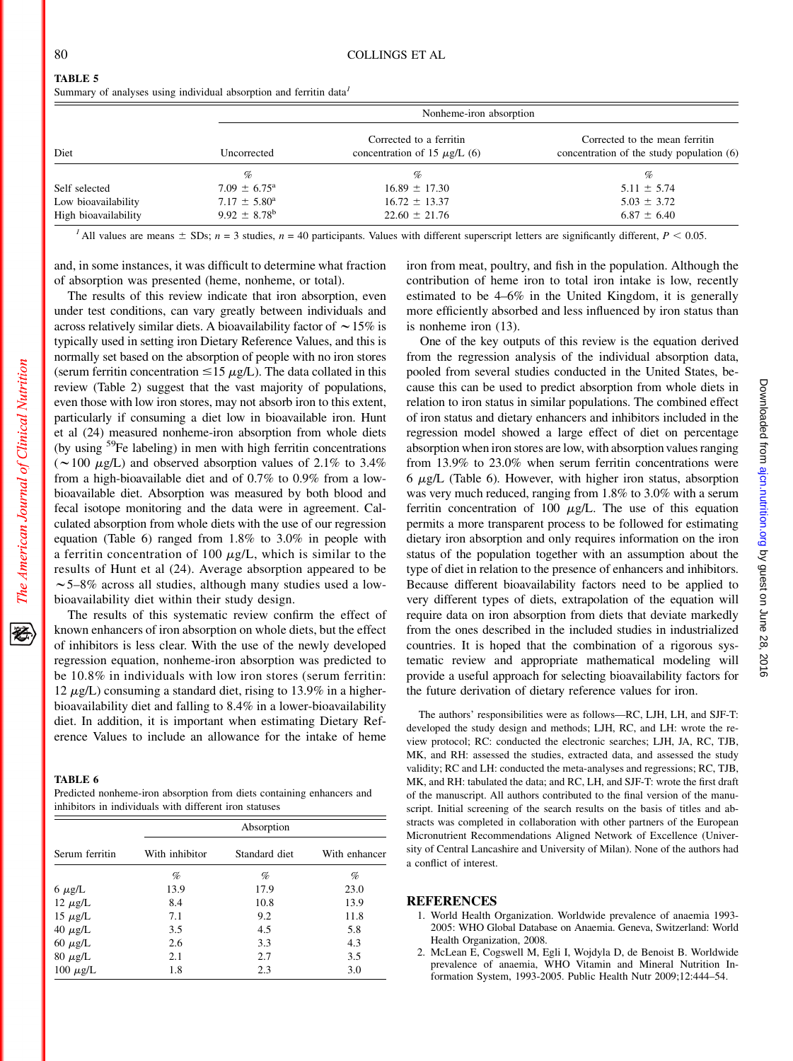# TABLE 5

Summary of analyses using individual absorption and ferritin data<sup>1</sup>

|                      |                         | Nonheme-iron absorption                                      |                                                                             |  |  |  |  |  |  |
|----------------------|-------------------------|--------------------------------------------------------------|-----------------------------------------------------------------------------|--|--|--|--|--|--|
| Diet                 | Uncorrected             | Corrected to a ferritin<br>concentration of 15 $\mu$ g/L (6) | Corrected to the mean ferritin<br>concentration of the study population (6) |  |  |  |  |  |  |
|                      | $\%$                    | %                                                            | %                                                                           |  |  |  |  |  |  |
| Self selected        | $7.09 \pm 6.75^{\circ}$ | $16.89 \pm 17.30$                                            | $5.11 \pm 5.74$                                                             |  |  |  |  |  |  |
| Low bioavailability  | $7.17 \pm 5.80^{\circ}$ | $16.72 \pm 13.37$                                            | $5.03 \pm 3.72$                                                             |  |  |  |  |  |  |
| High bioavailability | $9.92 \pm 8.78^{\rm b}$ | $22.60 \pm 21.76$                                            | $6.87 \pm 6.40$                                                             |  |  |  |  |  |  |

<sup>1</sup> All values are means  $\pm$  SDs; n = 3 studies, n = 40 participants. Values with different superscript letters are significantly different,  $P < 0.05$ .

and, in some instances, it was difficult to determine what fraction of absorption was presented (heme, nonheme, or total).

The results of this review indicate that iron absorption, even under test conditions, can vary greatly between individuals and across relatively similar diets. A bioavailability factor of  $\sim$  15% is typically used in setting iron Dietary Reference Values, and this is normally set based on the absorption of people with no iron stores (serum ferritin concentration  $\leq 15 \mu g/L$ ). The data collated in this review (Table 2) suggest that the vast majority of populations, even those with low iron stores, may not absorb iron to this extent, particularly if consuming a diet low in bioavailable iron. Hunt et al (24) measured nonheme-iron absorption from whole diets (by using <sup>59</sup>Fe labeling) in men with high ferritin concentrations ( $\sim$ 100  $\mu$ g/L) and observed absorption values of 2.1% to 3.4% from a high-bioavailable diet and of 0.7% to 0.9% from a lowbioavailable diet. Absorption was measured by both blood and fecal isotope monitoring and the data were in agreement. Calculated absorption from whole diets with the use of our regression equation (Table 6) ranged from 1.8% to 3.0% in people with a ferritin concentration of 100  $\mu$ g/L, which is similar to the results of Hunt et al (24). Average absorption appeared to be  $\sim$  5–8% across all studies, although many studies used a lowbioavailability diet within their study design.

The results of this systematic review confirm the effect of known enhancers of iron absorption on whole diets, but the effect of inhibitors is less clear. With the use of the newly developed regression equation, nonheme-iron absorption was predicted to be 10.8% in individuals with low iron stores (serum ferritin:  $12 \mu g/L$ ) consuming a standard diet, rising to 13.9% in a higherbioavailability diet and falling to 8.4% in a lower-bioavailability diet. In addition, it is important when estimating Dietary Reference Values to include an allowance for the intake of heme

#### TABLE 6

The American Journal of Clinical Nutrition

犵

| Predicted nonheme-iron absorption from diets containing enhancers and |  |  |  |
|-----------------------------------------------------------------------|--|--|--|
| inhibitors in individuals with different iron statuses                |  |  |  |

|                | Absorption     |               |               |  |  |  |  |  |  |
|----------------|----------------|---------------|---------------|--|--|--|--|--|--|
| Serum ferritin | With inhibitor | Standard diet | With enhancer |  |  |  |  |  |  |
|                | %              | %             | %             |  |  |  |  |  |  |
| $6 \mu g/L$    | 13.9           | 17.9          | 23.0          |  |  |  |  |  |  |
| $12 \mu g/L$   | 8.4            | 10.8          | 13.9          |  |  |  |  |  |  |
| 15 $\mu$ g/L   | 7.1            | 9.2           | 11.8          |  |  |  |  |  |  |
| 40 $\mu$ g/L   | 3.5            | 4.5           | 5.8           |  |  |  |  |  |  |
| $60 \mu g/L$   | 2.6            | 3.3           | 4.3           |  |  |  |  |  |  |
| $80 \mu g/L$   | 2.1            | 2.7           | 3.5           |  |  |  |  |  |  |
| $100 \mu g/L$  | 1.8            | 2.3           | 3.0           |  |  |  |  |  |  |

iron from meat, poultry, and fish in the population. Although the contribution of heme iron to total iron intake is low, recently estimated to be 4–6% in the United Kingdom, it is generally more efficiently absorbed and less influenced by iron status than is nonheme iron (13).

One of the key outputs of this review is the equation derived from the regression analysis of the individual absorption data, pooled from several studies conducted in the United States, because this can be used to predict absorption from whole diets in relation to iron status in similar populations. The combined effect of iron status and dietary enhancers and inhibitors included in the regression model showed a large effect of diet on percentage absorption when iron stores are low, with absorption values ranging from 13.9% to 23.0% when serum ferritin concentrations were  $6 \mu g/L$  (Table 6). However, with higher iron status, absorption was very much reduced, ranging from 1.8% to 3.0% with a serum ferritin concentration of 100  $\mu$ g/L. The use of this equation permits a more transparent process to be followed for estimating dietary iron absorption and only requires information on the iron status of the population together with an assumption about the type of diet in relation to the presence of enhancers and inhibitors. Because different bioavailability factors need to be applied to very different types of diets, extrapolation of the equation will require data on iron absorption from diets that deviate markedly from the ones described in the included studies in industrialized countries. It is hoped that the combination of a rigorous systematic review and appropriate mathematical modeling will provide a useful approach for selecting bioavailability factors for the future derivation of dietary reference values for iron.

The authors' responsibilities were as follows—RC, LJH, LH, and SJF-T: developed the study design and methods; LJH, RC, and LH: wrote the review protocol; RC: conducted the electronic searches; LJH, JA, RC, TJB, MK, and RH: assessed the studies, extracted data, and assessed the study validity; RC and LH: conducted the meta-analyses and regressions; RC, TJB, MK, and RH: tabulated the data; and RC, LH, and SJF-T: wrote the first draft of the manuscript. All authors contributed to the final version of the manuscript. Initial screening of the search results on the basis of titles and abstracts was completed in collaboration with other partners of the European Micronutrient Recommendations Aligned Network of Excellence (University of Central Lancashire and University of Milan). None of the authors had a conflict of interest.

#### REFERENCES

- 1. World Health Organization. Worldwide prevalence of anaemia 1993- 2005: WHO Global Database on Anaemia. Geneva, Switzerland: World Health Organization, 2008.
- 2. McLean E, Cogswell M, Egli I, Wojdyla D, de Benoist B. Worldwide prevalence of anaemia, WHO Vitamin and Mineral Nutrition Information System, 1993-2005. Public Health Nutr 2009;12:444–54.